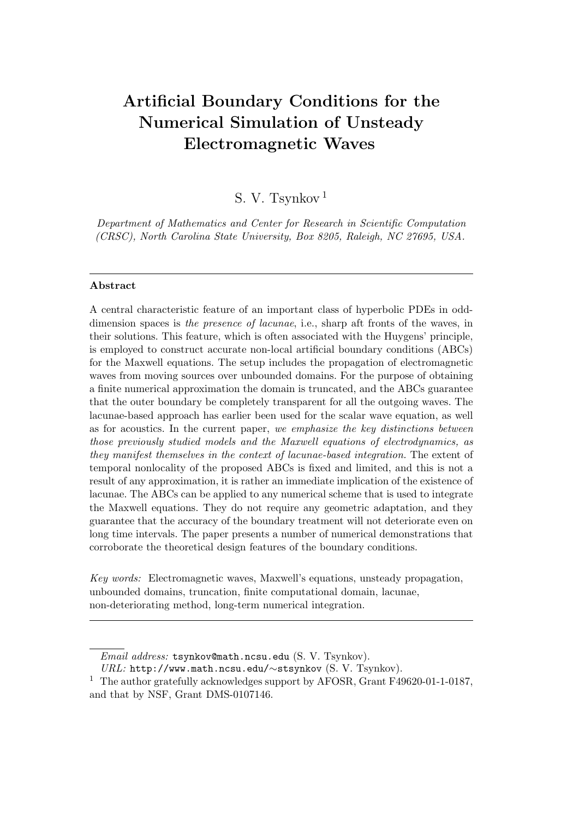# Artificial Boundary Conditions for the Numerical Simulation of Unsteady Electromagnetic Waves

## S. V. Tsynkov <sup>1</sup>

Department of Mathematics and Center for Research in Scientific Computation (CRSC), North Carolina State University, Box 8205, Raleigh, NC 27695, USA.

#### Abstract

A central characteristic feature of an important class of hyperbolic PDEs in odddimension spaces is the presence of lacunae, i.e., sharp aft fronts of the waves, in their solutions. This feature, which is often associated with the Huygens' principle, is employed to construct accurate non-local artificial boundary conditions (ABCs) for the Maxwell equations. The setup includes the propagation of electromagnetic waves from moving sources over unbounded domains. For the purpose of obtaining a finite numerical approximation the domain is truncated, and the ABCs guarantee that the outer boundary be completely transparent for all the outgoing waves. The lacunae-based approach has earlier been used for the scalar wave equation, as well as for acoustics. In the current paper, we emphasize the key distinctions between those previously studied models and the Maxwell equations of electrodynamics, as they manifest themselves in the context of lacunae-based integration. The extent of temporal nonlocality of the proposed ABCs is fixed and limited, and this is not a result of any approximation, it is rather an immediate implication of the existence of lacunae. The ABCs can be applied to any numerical scheme that is used to integrate the Maxwell equations. They do not require any geometric adaptation, and they guarantee that the accuracy of the boundary treatment will not deteriorate even on long time intervals. The paper presents a number of numerical demonstrations that corroborate the theoretical design features of the boundary conditions.

Key words: Electromagnetic waves, Maxwell's equations, unsteady propagation, unbounded domains, truncation, finite computational domain, lacunae, non-deteriorating method, long-term numerical integration.

Email address: tsynkov@math.ncsu.edu (S. V. Tsynkov).

URL: http://www.math.ncsu.edu/∼stsynkov (S. V. Tsynkov).

<sup>&</sup>lt;sup>1</sup> The author gratefully acknowledges support by AFOSR, Grant F49620-01-1-0187, and that by NSF, Grant DMS-0107146.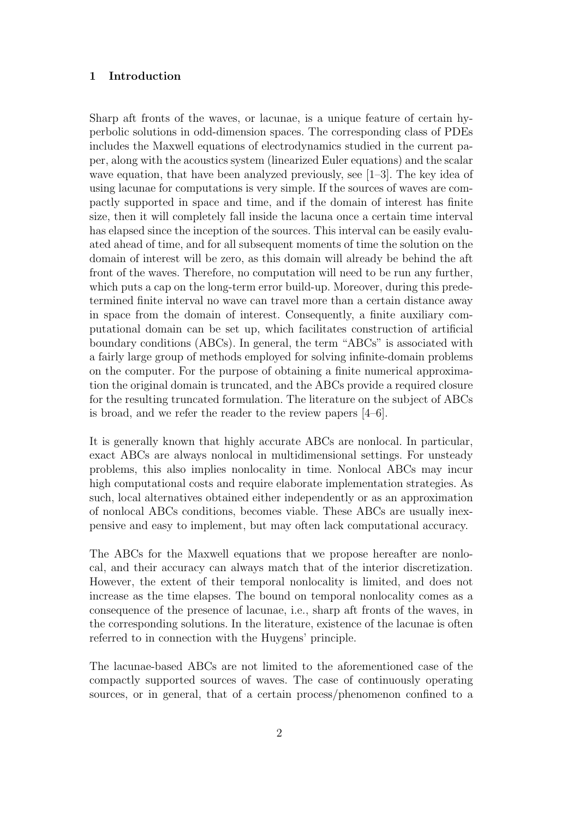#### 1 Introduction

Sharp aft fronts of the waves, or lacunae, is a unique feature of certain hyperbolic solutions in odd-dimension spaces. The corresponding class of PDEs includes the Maxwell equations of electrodynamics studied in the current paper, along with the acoustics system (linearized Euler equations) and the scalar wave equation, that have been analyzed previously, see [1–3]. The key idea of using lacunae for computations is very simple. If the sources of waves are compactly supported in space and time, and if the domain of interest has finite size, then it will completely fall inside the lacuna once a certain time interval has elapsed since the inception of the sources. This interval can be easily evaluated ahead of time, and for all subsequent moments of time the solution on the domain of interest will be zero, as this domain will already be behind the aft front of the waves. Therefore, no computation will need to be run any further, which puts a cap on the long-term error build-up. Moreover, during this predetermined finite interval no wave can travel more than a certain distance away in space from the domain of interest. Consequently, a finite auxiliary computational domain can be set up, which facilitates construction of artificial boundary conditions (ABCs). In general, the term "ABCs" is associated with a fairly large group of methods employed for solving infinite-domain problems on the computer. For the purpose of obtaining a finite numerical approximation the original domain is truncated, and the ABCs provide a required closure for the resulting truncated formulation. The literature on the subject of ABCs is broad, and we refer the reader to the review papers [4–6].

It is generally known that highly accurate ABCs are nonlocal. In particular, exact ABCs are always nonlocal in multidimensional settings. For unsteady problems, this also implies nonlocality in time. Nonlocal ABCs may incur high computational costs and require elaborate implementation strategies. As such, local alternatives obtained either independently or as an approximation of nonlocal ABCs conditions, becomes viable. These ABCs are usually inexpensive and easy to implement, but may often lack computational accuracy.

The ABCs for the Maxwell equations that we propose hereafter are nonlocal, and their accuracy can always match that of the interior discretization. However, the extent of their temporal nonlocality is limited, and does not increase as the time elapses. The bound on temporal nonlocality comes as a consequence of the presence of lacunae, i.e., sharp aft fronts of the waves, in the corresponding solutions. In the literature, existence of the lacunae is often referred to in connection with the Huygens' principle.

The lacunae-based ABCs are not limited to the aforementioned case of the compactly supported sources of waves. The case of continuously operating sources, or in general, that of a certain process/phenomenon confined to a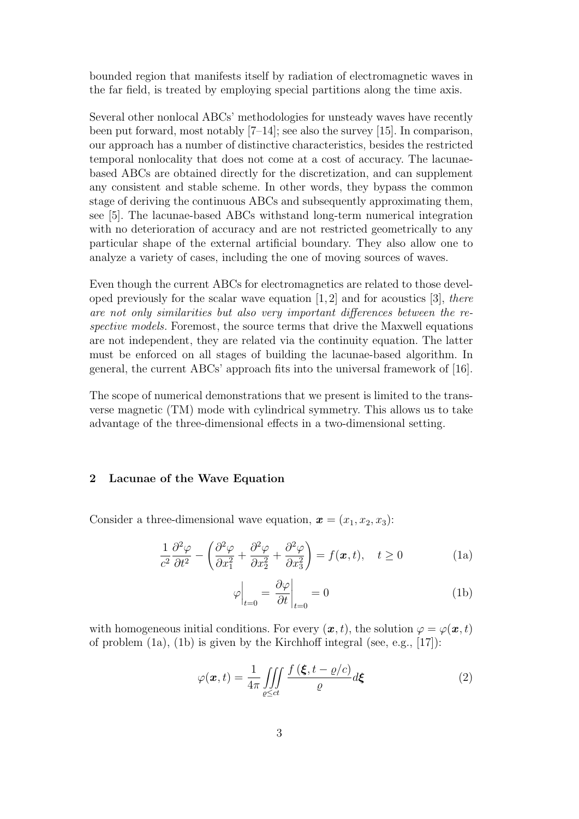bounded region that manifests itself by radiation of electromagnetic waves in the far field, is treated by employing special partitions along the time axis.

Several other nonlocal ABCs' methodologies for unsteady waves have recently been put forward, most notably [7–14]; see also the survey [15]. In comparison, our approach has a number of distinctive characteristics, besides the restricted temporal nonlocality that does not come at a cost of accuracy. The lacunaebased ABCs are obtained directly for the discretization, and can supplement any consistent and stable scheme. In other words, they bypass the common stage of deriving the continuous ABCs and subsequently approximating them, see [5]. The lacunae-based ABCs withstand long-term numerical integration with no deterioration of accuracy and are not restricted geometrically to any particular shape of the external artificial boundary. They also allow one to analyze a variety of cases, including the one of moving sources of waves.

Even though the current ABCs for electromagnetics are related to those developed previously for the scalar wave equation  $[1, 2]$  and for acoustics  $[3]$ , there are not only similarities but also very important differences between the respective models. Foremost, the source terms that drive the Maxwell equations are not independent, they are related via the continuity equation. The latter must be enforced on all stages of building the lacunae-based algorithm. In general, the current ABCs' approach fits into the universal framework of [16].

The scope of numerical demonstrations that we present is limited to the transverse magnetic (TM) mode with cylindrical symmetry. This allows us to take advantage of the three-dimensional effects in a two-dimensional setting.

#### 2 Lacunae of the Wave Equation

Consider a three-dimensional wave equation,  $\mathbf{x} = (x_1, x_2, x_3)$ :

$$
\frac{1}{c^2} \frac{\partial^2 \varphi}{\partial t^2} - \left( \frac{\partial^2 \varphi}{\partial x_1^2} + \frac{\partial^2 \varphi}{\partial x_2^2} + \frac{\partial^2 \varphi}{\partial x_3^2} \right) = f(\boldsymbol{x}, t), \quad t \ge 0
$$
 (1a)

$$
\varphi\Big|_{t=0} = \frac{\partial\varphi}{\partial t}\Big|_{t=0} = 0 \tag{1b}
$$

with homogeneous initial conditions. For every  $(\boldsymbol{x}, t)$ , the solution  $\varphi = \varphi(\boldsymbol{x}, t)$ of problem (1a), (1b) is given by the Kirchhoff integral (see, e.g., [17]):

$$
\varphi(\boldsymbol{x},t) = \frac{1}{4\pi} \iiint\limits_{\varrho \le ct} \frac{f(\boldsymbol{\xi},t-\varrho/c)}{\varrho} d\boldsymbol{\xi}
$$
 (2)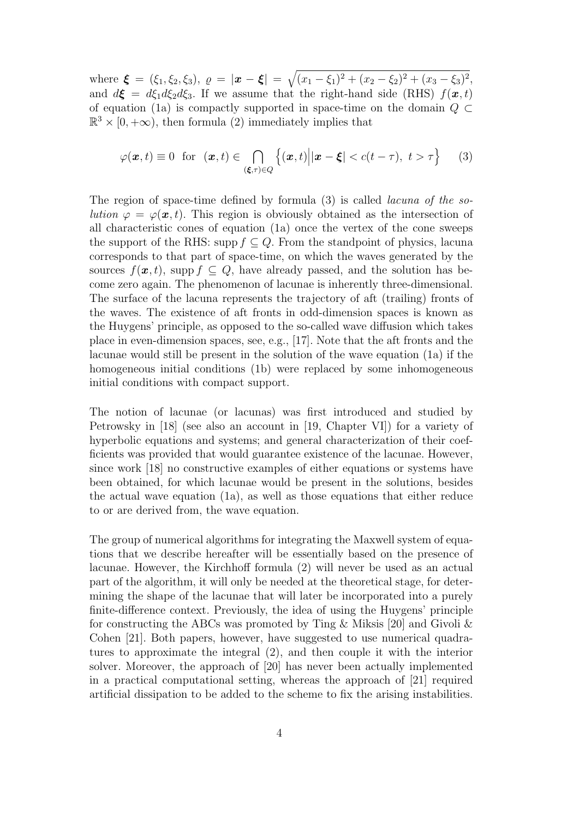where  $\boldsymbol{\xi} = (\xi_1, \xi_2, \xi_3), \varrho = |\boldsymbol{x} - \boldsymbol{\xi}| = \sqrt{(x_1 - \xi_1)^2 + (x_2 - \xi_2)^2 + (x_3 - \xi_3)^2},$ and  $d\mathbf{\xi} = d\xi_1 d\xi_2 d\xi_3$ . If we assume that the right-hand side (RHS)  $f(\mathbf{x}, t)$ of equation (1a) is compactly supported in space-time on the domain  $Q \subset$  $\mathbb{R}^3 \times [0, +\infty)$ , then formula (2) immediately implies that

$$
\varphi(\boldsymbol{x},t) \equiv 0 \text{ for } (\boldsymbol{x},t) \in \bigcap_{(\boldsymbol{\xi},\tau)\in Q} \left\{ (\boldsymbol{x},t) \Big| |\boldsymbol{x}-\boldsymbol{\xi}| < c(t-\tau), \ t > \tau \right\} \tag{3}
$$

The region of space-time defined by formula (3) is called lacuna of the solution  $\varphi = \varphi(\mathbf{x}, t)$ . This region is obviously obtained as the intersection of all characteristic cones of equation (1a) once the vertex of the cone sweeps the support of the RHS: supp  $f \subseteq Q$ . From the standpoint of physics, lacuna corresponds to that part of space-time, on which the waves generated by the sources  $f(\mathbf{x}, t)$ , supp  $f \subset Q$ , have already passed, and the solution has become zero again. The phenomenon of lacunae is inherently three-dimensional. The surface of the lacuna represents the trajectory of aft (trailing) fronts of the waves. The existence of aft fronts in odd-dimension spaces is known as the Huygens' principle, as opposed to the so-called wave diffusion which takes place in even-dimension spaces, see, e.g., [17]. Note that the aft fronts and the lacunae would still be present in the solution of the wave equation (1a) if the homogeneous initial conditions (1b) were replaced by some inhomogeneous initial conditions with compact support.

The notion of lacunae (or lacunas) was first introduced and studied by Petrowsky in [18] (see also an account in [19, Chapter VI]) for a variety of hyperbolic equations and systems; and general characterization of their coefficients was provided that would guarantee existence of the lacunae. However, since work [18] no constructive examples of either equations or systems have been obtained, for which lacunae would be present in the solutions, besides the actual wave equation (1a), as well as those equations that either reduce to or are derived from, the wave equation.

The group of numerical algorithms for integrating the Maxwell system of equations that we describe hereafter will be essentially based on the presence of lacunae. However, the Kirchhoff formula (2) will never be used as an actual part of the algorithm, it will only be needed at the theoretical stage, for determining the shape of the lacunae that will later be incorporated into a purely finite-difference context. Previously, the idea of using the Huygens' principle for constructing the ABCs was promoted by Ting & Miksis [20] and Givoli & Cohen [21]. Both papers, however, have suggested to use numerical quadratures to approximate the integral (2), and then couple it with the interior solver. Moreover, the approach of [20] has never been actually implemented in a practical computational setting, whereas the approach of [21] required artificial dissipation to be added to the scheme to fix the arising instabilities.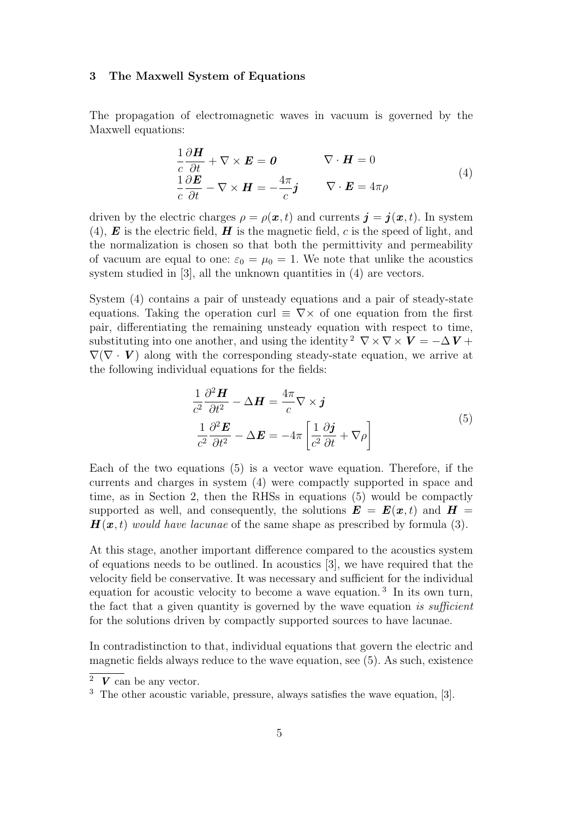#### 3 The Maxwell System of Equations

The propagation of electromagnetic waves in vacuum is governed by the Maxwell equations:

$$
\frac{1}{c} \frac{\partial \boldsymbol{H}}{\partial t} + \nabla \times \boldsymbol{E} = \boldsymbol{0} \qquad \nabla \cdot \boldsymbol{H} = 0
$$
\n
$$
\frac{1}{c} \frac{\partial \boldsymbol{E}}{\partial t} - \nabla \times \boldsymbol{H} = -\frac{4\pi}{c} \boldsymbol{j} \qquad \nabla \cdot \boldsymbol{E} = 4\pi \rho
$$
\n(4)

driven by the electric charges  $\rho = \rho(\mathbf{x}, t)$  and currents  $\mathbf{j} = \mathbf{j}(\mathbf{x}, t)$ . In system (4),  $\boldsymbol{E}$  is the electric field,  $\boldsymbol{H}$  is the magnetic field, c is the speed of light, and the normalization is chosen so that both the permittivity and permeability of vacuum are equal to one:  $\varepsilon_0 = \mu_0 = 1$ . We note that unlike the acoustics system studied in [3], all the unknown quantities in (4) are vectors.

System (4) contains a pair of unsteady equations and a pair of steady-state equations. Taking the operation curl  $\equiv \nabla \times$  of one equation from the first pair, differentiating the remaining unsteady equation with respect to time, substituting into one another, and using the identity <sup>2</sup>  $\nabla \times \nabla \times \mathbf{V} = -\Delta \mathbf{V} + \Delta \mathbf{V}$  $\nabla(\nabla \cdot \mathbf{V})$  along with the corresponding steady-state equation, we arrive at the following individual equations for the fields:

$$
\frac{1}{c^2} \frac{\partial^2 \mathbf{H}}{\partial t^2} - \Delta \mathbf{H} = \frac{4\pi}{c} \nabla \times \mathbf{j}
$$
\n
$$
\frac{1}{c^2} \frac{\partial^2 \mathbf{E}}{\partial t^2} - \Delta \mathbf{E} = -4\pi \left[ \frac{1}{c^2} \frac{\partial \mathbf{j}}{\partial t} + \nabla \rho \right]
$$
\n(5)

Each of the two equations (5) is a vector wave equation. Therefore, if the currents and charges in system (4) were compactly supported in space and time, as in Section 2, then the RHSs in equations (5) would be compactly supported as well, and consequently, the solutions  $\mathbf{E} = \mathbf{E}(\mathbf{x}, t)$  and  $\mathbf{H} =$  $\mathbf{H}(\boldsymbol{x},t)$  would have lacunae of the same shape as prescribed by formula (3).

At this stage, another important difference compared to the acoustics system of equations needs to be outlined. In acoustics [3], we have required that the velocity field be conservative. It was necessary and sufficient for the individual equation for acoustic velocity to become a wave equation.<sup>3</sup> In its own turn, the fact that a given quantity is governed by the wave equation is sufficient for the solutions driven by compactly supported sources to have lacunae.

In contradistinction to that, individual equations that govern the electric and magnetic fields always reduce to the wave equation, see (5). As such, existence

 $2 V \text{ can be any vector.}$ 

<sup>3</sup> The other acoustic variable, pressure, always satisfies the wave equation, [3].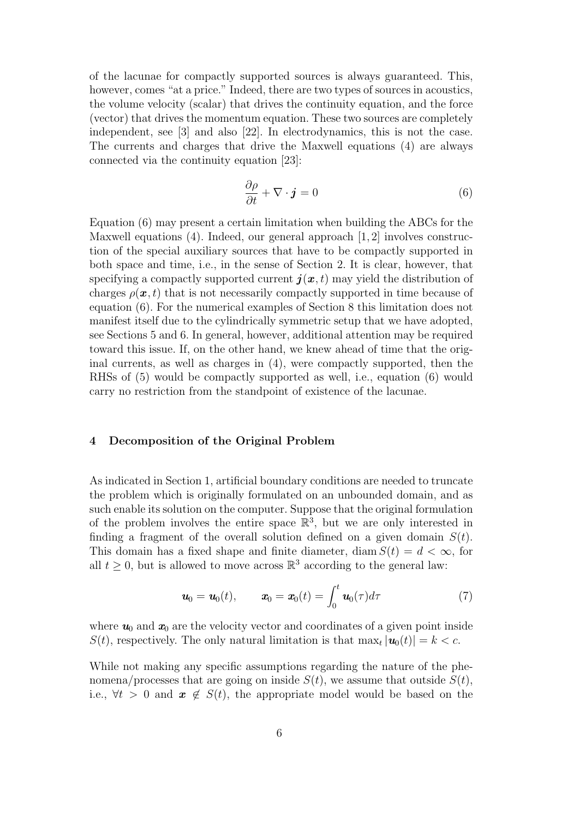of the lacunae for compactly supported sources is always guaranteed. This, however, comes "at a price." Indeed, there are two types of sources in acoustics, the volume velocity (scalar) that drives the continuity equation, and the force (vector) that drives the momentum equation. These two sources are completely independent, see [3] and also [22]. In electrodynamics, this is not the case. The currents and charges that drive the Maxwell equations (4) are always connected via the continuity equation [23]:

$$
\frac{\partial \rho}{\partial t} + \nabla \cdot \mathbf{j} = 0 \tag{6}
$$

Equation (6) may present a certain limitation when building the ABCs for the Maxwell equations (4). Indeed, our general approach [1, 2] involves construction of the special auxiliary sources that have to be compactly supported in both space and time, i.e., in the sense of Section 2. It is clear, however, that specifying a compactly supported current  $\bm{j}(\bm{x}, t)$  may yield the distribution of charges  $\rho(\mathbf{x}, t)$  that is not necessarily compactly supported in time because of equation (6). For the numerical examples of Section 8 this limitation does not manifest itself due to the cylindrically symmetric setup that we have adopted, see Sections 5 and 6. In general, however, additional attention may be required toward this issue. If, on the other hand, we knew ahead of time that the original currents, as well as charges in (4), were compactly supported, then the RHSs of (5) would be compactly supported as well, i.e., equation (6) would carry no restriction from the standpoint of existence of the lacunae.

#### 4 Decomposition of the Original Problem

As indicated in Section 1, artificial boundary conditions are needed to truncate the problem which is originally formulated on an unbounded domain, and as such enable its solution on the computer. Suppose that the original formulation of the problem involves the entire space  $\mathbb{R}^3$ , but we are only interested in finding a fragment of the overall solution defined on a given domain  $S(t)$ . This domain has a fixed shape and finite diameter, diam  $S(t) = d < \infty$ , for all  $t \geq 0$ , but is allowed to move across  $\mathbb{R}^3$  according to the general law:

$$
\boldsymbol{u}_0 = \boldsymbol{u}_0(t), \qquad \boldsymbol{x}_0 = \boldsymbol{x}_0(t) = \int_0^t \boldsymbol{u}_0(\tau) d\tau \tag{7}
$$

where  $u_0$  and  $x_0$  are the velocity vector and coordinates of a given point inside  $S(t)$ , respectively. The only natural limitation is that  $\max_t |\mathbf{u}_0(t)| = k < c$ .

While not making any specific assumptions regarding the nature of the phenomena/processes that are going on inside  $S(t)$ , we assume that outside  $S(t)$ , i.e.,  $\forall t > 0$  and  $\mathbf{x} \notin S(t)$ , the appropriate model would be based on the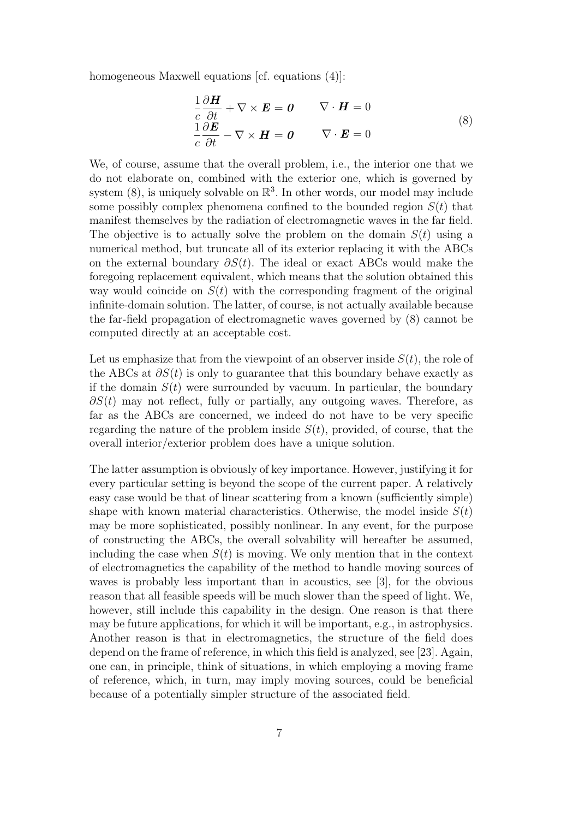homogeneous Maxwell equations [cf. equations (4)]:

$$
\frac{1}{c} \frac{\partial \boldsymbol{H}}{\partial t} + \nabla \times \boldsymbol{E} = \boldsymbol{0} \qquad \nabla \cdot \boldsymbol{H} = 0
$$
\n
$$
\frac{1}{c} \frac{\partial \boldsymbol{E}}{\partial t} - \nabla \times \boldsymbol{H} = \boldsymbol{0} \qquad \nabla \cdot \boldsymbol{E} = 0
$$
\n(8)

We, of course, assume that the overall problem, i.e., the interior one that we do not elaborate on, combined with the exterior one, which is governed by system  $(8)$ , is uniquely solvable on  $\mathbb{R}^3$ . In other words, our model may include some possibly complex phenomena confined to the bounded region  $S(t)$  that manifest themselves by the radiation of electromagnetic waves in the far field. The objective is to actually solve the problem on the domain  $S(t)$  using a numerical method, but truncate all of its exterior replacing it with the ABCs on the external boundary  $\partial S(t)$ . The ideal or exact ABCs would make the foregoing replacement equivalent, which means that the solution obtained this way would coincide on  $S(t)$  with the corresponding fragment of the original infinite-domain solution. The latter, of course, is not actually available because the far-field propagation of electromagnetic waves governed by (8) cannot be computed directly at an acceptable cost.

Let us emphasize that from the viewpoint of an observer inside  $S(t)$ , the role of the ABCs at  $\partial S(t)$  is only to guarantee that this boundary behave exactly as if the domain  $S(t)$  were surrounded by vacuum. In particular, the boundary  $\partial S(t)$  may not reflect, fully or partially, any outgoing waves. Therefore, as far as the ABCs are concerned, we indeed do not have to be very specific regarding the nature of the problem inside  $S(t)$ , provided, of course, that the overall interior/exterior problem does have a unique solution.

The latter assumption is obviously of key importance. However, justifying it for every particular setting is beyond the scope of the current paper. A relatively easy case would be that of linear scattering from a known (sufficiently simple) shape with known material characteristics. Otherwise, the model inside  $S(t)$ may be more sophisticated, possibly nonlinear. In any event, for the purpose of constructing the ABCs, the overall solvability will hereafter be assumed, including the case when  $S(t)$  is moving. We only mention that in the context of electromagnetics the capability of the method to handle moving sources of waves is probably less important than in acoustics, see [3], for the obvious reason that all feasible speeds will be much slower than the speed of light. We, however, still include this capability in the design. One reason is that there may be future applications, for which it will be important, e.g., in astrophysics. Another reason is that in electromagnetics, the structure of the field does depend on the frame of reference, in which this field is analyzed, see [23]. Again, one can, in principle, think of situations, in which employing a moving frame of reference, which, in turn, may imply moving sources, could be beneficial because of a potentially simpler structure of the associated field.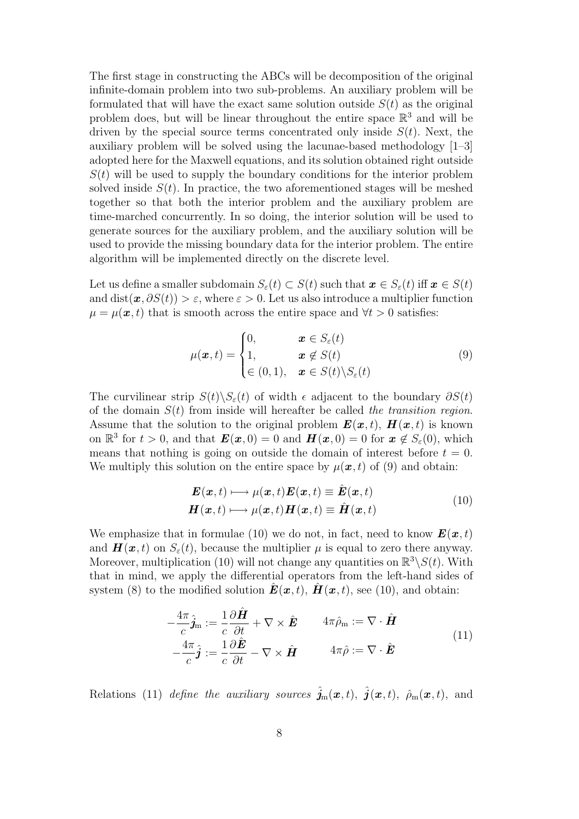The first stage in constructing the ABCs will be decomposition of the original infinite-domain problem into two sub-problems. An auxiliary problem will be formulated that will have the exact same solution outside  $S(t)$  as the original problem does, but will be linear throughout the entire space  $\mathbb{R}^3$  and will be driven by the special source terms concentrated only inside  $S(t)$ . Next, the auxiliary problem will be solved using the lacunae-based methodology [1–3] adopted here for the Maxwell equations, and its solution obtained right outside  $S(t)$  will be used to supply the boundary conditions for the interior problem solved inside  $S(t)$ . In practice, the two aforementioned stages will be meshed together so that both the interior problem and the auxiliary problem are time-marched concurrently. In so doing, the interior solution will be used to generate sources for the auxiliary problem, and the auxiliary solution will be used to provide the missing boundary data for the interior problem. The entire algorithm will be implemented directly on the discrete level.

Let us define a smaller subdomain  $S_{\varepsilon}(t) \subset S(t)$  such that  $\mathbf{x} \in S_{\varepsilon}(t)$  iff  $\mathbf{x} \in S(t)$ and dist $(\mathbf{x}, \partial S(t)) > \varepsilon$ , where  $\varepsilon > 0$ . Let us also introduce a multiplier function  $\mu = \mu(x, t)$  that is smooth across the entire space and  $\forall t > 0$  satisfies:

$$
\mu(\boldsymbol{x},t) = \begin{cases} 0, & \boldsymbol{x} \in S_{\varepsilon}(t) \\ 1, & \boldsymbol{x} \notin S(t) \\ \in (0,1), & \boldsymbol{x} \in S(t) \setminus S_{\varepsilon}(t) \end{cases}
$$
(9)

The curvilinear strip  $S(t)\backslash S_{\varepsilon}(t)$  of width  $\epsilon$  adjacent to the boundary  $\partial S(t)$ of the domain  $S(t)$  from inside will hereafter be called the transition region. Assume that the solution to the original problem  $\mathbf{E}(\mathbf{x}, t)$ ,  $\mathbf{H}(\mathbf{x}, t)$  is known on  $\mathbb{R}^3$  for  $t > 0$ , and that  $\mathbf{E}(\mathbf{x}, 0) = 0$  and  $\mathbf{H}(\mathbf{x}, 0) = 0$  for  $\mathbf{x} \notin S_{\varepsilon}(0)$ , which means that nothing is going on outside the domain of interest before  $t = 0$ . We multiply this solution on the entire space by  $\mu(\boldsymbol{x},t)$  of (9) and obtain:

$$
\mathbf{E}(\mathbf{x},t) \longmapsto \mu(\mathbf{x},t)\mathbf{E}(\mathbf{x},t) \equiv \hat{\mathbf{E}}(\mathbf{x},t) \n\mathbf{H}(\mathbf{x},t) \longmapsto \mu(\mathbf{x},t)\mathbf{H}(\mathbf{x},t) \equiv \hat{\mathbf{H}}(\mathbf{x},t)
$$
\n(10)

We emphasize that in formulae (10) we do not, in fact, need to know  $\mathbf{E}(\mathbf{x}, t)$ and  $\mathbf{H}(\mathbf{x},t)$  on  $S_{\epsilon}(t)$ , because the multiplier  $\mu$  is equal to zero there anyway. Moreover, multiplication (10) will not change any quantities on  $\mathbb{R}^3 \setminus S(t)$ . With that in mind, we apply the differential operators from the left-hand sides of system (8) to the modified solution  $\mathbf{E}(\mathbf{x}, t)$ ,  $\mathbf{H}(\mathbf{x}, t)$ , see (10), and obtain:

$$
-\frac{4\pi}{c}\hat{j}_{\mathbf{m}} := \frac{1}{c}\frac{\partial \hat{H}}{\partial t} + \nabla \times \hat{E} \qquad 4\pi \hat{\rho}_{\mathbf{m}} := \nabla \cdot \hat{H}
$$
  

$$
-\frac{4\pi}{c}\hat{j} := \frac{1}{c}\frac{\partial \hat{E}}{\partial t} - \nabla \times \hat{H} \qquad 4\pi \hat{\rho} := \nabla \cdot \hat{E}
$$
 (11)

Relations (11) define the auxiliary sources  $\hat{\mathbf{j}}_{\mathrm{m}}(\boldsymbol{x},t)$ ,  $\hat{\mathbf{j}}(\boldsymbol{x},t)$ ,  $\hat{\rho}_{\mathrm{m}}(\boldsymbol{x},t)$ , and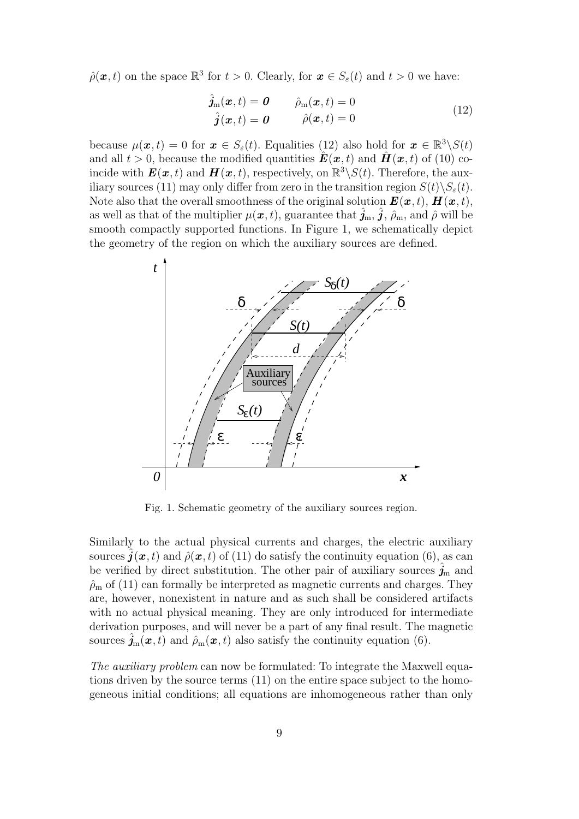$\hat{\rho}(\boldsymbol{x},t)$  on the space  $\mathbb{R}^3$  for  $t > 0$ . Clearly, for  $\boldsymbol{x} \in S_{\varepsilon}(t)$  and  $t > 0$  we have:

$$
\hat{j}_{m}(\boldsymbol{x},t) = \boldsymbol{0} \qquad \hat{\rho}_{m}(\boldsymbol{x},t) = 0
$$
\n
$$
\hat{j}(\boldsymbol{x},t) = \boldsymbol{0} \qquad \hat{\rho}(\boldsymbol{x},t) = 0 \qquad (12)
$$

because  $\mu(\bm{x},t) = 0$  for  $\bm{x} \in S_{\varepsilon}(t)$ . Equalities (12) also hold for  $\bm{x} \in \mathbb{R}^3 \backslash S(t)$ and all  $t > 0$ , because the modified quantities  $\hat{\mathbf{E}}(\mathbf{x}, t)$  and  $\hat{\mathbf{H}}(\mathbf{x}, t)$  of (10) coincide with  $\bm{E}(\bm{x},t)$  and  $\bm{H}(\bm{x},t)$ , respectively, on  $\mathbb{R}^3 \backslash S(t)$ . Therefore, the auxiliary sources (11) may only differ from zero in the transition region  $S(t)\backslash S_{\varepsilon}(t)$ . Note also that the overall smoothness of the original solution  $\mathbf{E}(\mathbf{x}, t)$ ,  $\mathbf{H}(\mathbf{x}, t)$ , as well as that of the multiplier  $\mu(\bm{x}, t)$ , guarantee that  $\hat{j}_{m}, \hat{j}, \hat{\rho}_{m}$ , and  $\hat{\rho}$  will be smooth compactly supported functions. In Figure 1, we schematically depict the geometry of the region on which the auxiliary sources are defined.



Fig. 1. Schematic geometry of the auxiliary sources region.

Similarly to the actual physical currents and charges, the electric auxiliary sources  $\bm{j}(\bm{x}, t)$  and  $\hat{\rho}(\bm{x}, t)$  of (11) do satisfy the continuity equation (6), as can be verified by direct substitution. The other pair of auxiliary sources  $j<sub>m</sub>$  and  $\hat{\rho}_m$  of (11) can formally be interpreted as magnetic currents and charges. They are, however, nonexistent in nature and as such shall be considered artifacts with no actual physical meaning. They are only introduced for intermediate derivation purposes, and will never be a part of any final result. The magnetic sources  $\hat{j}_m(x, t)$  and  $\hat{\rho}_m(x, t)$  also satisfy the continuity equation (6).

The *auxiliary problem* can now be formulated: To integrate the Maxwell equations driven by the source terms (11) on the entire space subject to the homogeneous initial conditions; all equations are inhomogeneous rather than only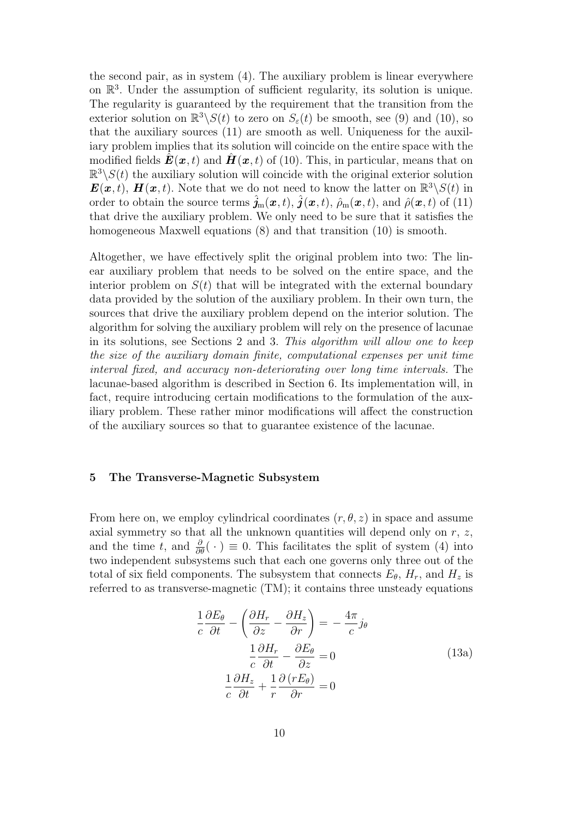the second pair, as in system (4). The auxiliary problem is linear everywhere on  $\mathbb{R}^3$ . Under the assumption of sufficient regularity, its solution is unique. The regularity is guaranteed by the requirement that the transition from the exterior solution on  $\mathbb{R}^3 \backslash S(t)$  to zero on  $S_{\varepsilon}(t)$  be smooth, see (9) and (10), so that the auxiliary sources (11) are smooth as well. Uniqueness for the auxiliary problem implies that its solution will coincide on the entire space with the modified fields  $\mathbf{E}(\mathbf{x},t)$  and  $\mathbf{H}(\mathbf{x},t)$  of (10). This, in particular, means that on  $\mathbb{R}^3 \setminus S(t)$  the auxiliary solution will coincide with the original exterior solution  $\mathbf{E}(\mathbf{x},t)$ ,  $\mathbf{H}(\mathbf{x},t)$ . Note that we do not need to know the latter on  $\mathbb{R}^3 \setminus S(t)$  in order to obtain the source terms  $\hat{j}_m(x,t)$ ,  $\hat{j}(x,t)$ ,  $\hat{\rho}_m(x,t)$ , and  $\hat{\rho}(x,t)$  of (11) that drive the auxiliary problem. We only need to be sure that it satisfies the homogeneous Maxwell equations (8) and that transition (10) is smooth.

Altogether, we have effectively split the original problem into two: The linear auxiliary problem that needs to be solved on the entire space, and the interior problem on  $S(t)$  that will be integrated with the external boundary data provided by the solution of the auxiliary problem. In their own turn, the sources that drive the auxiliary problem depend on the interior solution. The algorithm for solving the auxiliary problem will rely on the presence of lacunae in its solutions, see Sections 2 and 3. This algorithm will allow one to keep the size of the auxiliary domain finite, computational expenses per unit time interval fixed, and accuracy non-deteriorating over long time intervals. The lacunae-based algorithm is described in Section 6. Its implementation will, in fact, require introducing certain modifications to the formulation of the auxiliary problem. These rather minor modifications will affect the construction of the auxiliary sources so that to guarantee existence of the lacunae.

#### 5 The Transverse-Magnetic Subsystem

From here on, we employ cylindrical coordinates  $(r, \theta, z)$  in space and assume axial symmetry so that all the unknown quantities will depend only on  $r, z$ , and the time t, and  $\frac{\partial}{\partial \theta}(\cdot) \equiv 0$ . This facilitates the split of system (4) into two independent subsystems such that each one governs only three out of the total of six field components. The subsystem that connects  $E_{\theta}$ ,  $H_{r}$ , and  $H_{z}$  is referred to as transverse-magnetic (TM); it contains three unsteady equations

$$
\frac{1}{c}\frac{\partial E_{\theta}}{\partial t} - \left(\frac{\partial H_r}{\partial z} - \frac{\partial H_z}{\partial r}\right) = -\frac{4\pi}{c}j_{\theta}
$$
\n
$$
\frac{1}{c}\frac{\partial H_r}{\partial t} - \frac{\partial E_{\theta}}{\partial z} = 0
$$
\n
$$
\frac{1}{c}\frac{\partial H_z}{\partial t} + \frac{1}{r}\frac{\partial (rE_{\theta})}{\partial r} = 0
$$
\n(13a)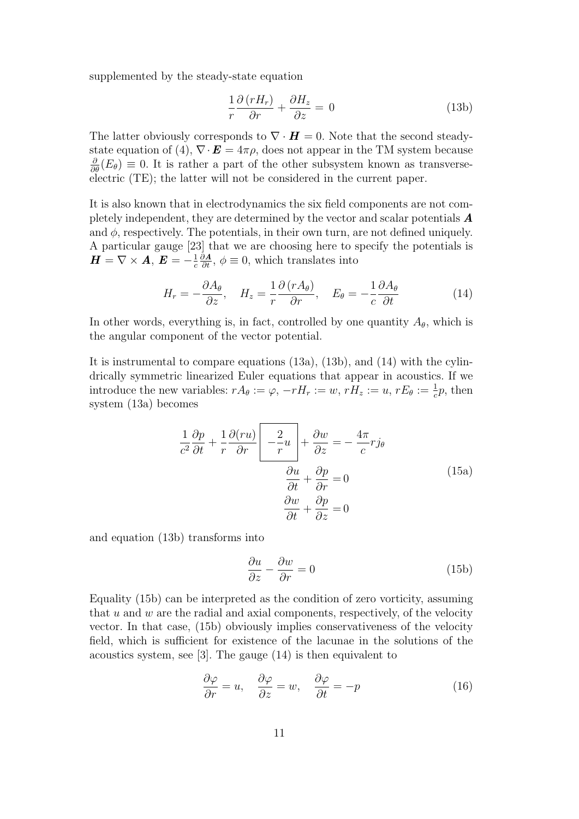supplemented by the steady-state equation

$$
\frac{1}{r}\frac{\partial (rH_r)}{\partial r} + \frac{\partial H_z}{\partial z} = 0
$$
\n(13b)

The latter obviously corresponds to  $\nabla \cdot \boldsymbol{H} = 0$ . Note that the second steadystate equation of (4),  $\nabla \cdot \mathbf{E} = 4\pi \rho$ , does not appear in the TM system because  $\frac{\partial}{\partial \theta}(E_{\theta}) \equiv 0$ . It is rather a part of the other subsystem known as transverseelectric (TE); the latter will not be considered in the current paper.

It is also known that in electrodynamics the six field components are not completely independent, they are determined by the vector and scalar potentials A and  $\phi$ , respectively. The potentials, in their own turn, are not defined uniquely. A particular gauge [23] that we are choosing here to specify the potentials is  $H=\nabla\times A, E=-\frac{1}{2}$ c  $\frac{\partial \mathbf{A}}{\partial t}$ ,  $\phi \equiv 0$ , which translates into

$$
H_r = -\frac{\partial A_\theta}{\partial z}, \quad H_z = \frac{1}{r} \frac{\partial (r A_\theta)}{\partial r}, \quad E_\theta = -\frac{1}{c} \frac{\partial A_\theta}{\partial t} \tag{14}
$$

In other words, everything is, in fact, controlled by one quantity  $A_{\theta}$ , which is the angular component of the vector potential.

It is instrumental to compare equations (13a), (13b), and (14) with the cylindrically symmetric linearized Euler equations that appear in acoustics. If we introduce the new variables:  $rA_{\theta} := \varphi$ ,  $-rH_r := w$ ,  $rH_z := u$ ,  $rE_{\theta} := \frac{1}{c}p$ , then system (13a) becomes

$$
\frac{1}{c^2} \frac{\partial p}{\partial t} + \frac{1}{r} \frac{\partial (ru)}{\partial r} \left[ \frac{2}{r} u \right] + \frac{\partial w}{\partial z} = -\frac{4\pi}{c} r j_\theta
$$
\n
$$
\frac{\partial u}{\partial t} + \frac{\partial p}{\partial r} = 0
$$
\n
$$
\frac{\partial w}{\partial t} + \frac{\partial p}{\partial z} = 0
$$
\n(15a)

and equation (13b) transforms into

$$
\frac{\partial u}{\partial z} - \frac{\partial w}{\partial r} = 0\tag{15b}
$$

Equality (15b) can be interpreted as the condition of zero vorticity, assuming that  $u$  and  $w$  are the radial and axial components, respectively, of the velocity vector. In that case, (15b) obviously implies conservativeness of the velocity field, which is sufficient for existence of the lacunae in the solutions of the acoustics system, see [3]. The gauge (14) is then equivalent to

$$
\frac{\partial \varphi}{\partial r} = u, \quad \frac{\partial \varphi}{\partial z} = w, \quad \frac{\partial \varphi}{\partial t} = -p \tag{16}
$$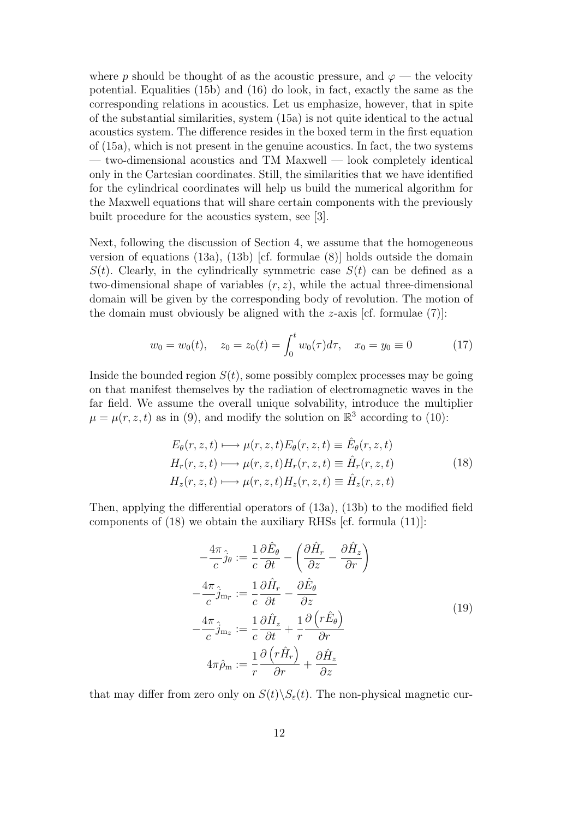where p should be thought of as the acoustic pressure, and  $\varphi$  — the velocity potential. Equalities (15b) and (16) do look, in fact, exactly the same as the corresponding relations in acoustics. Let us emphasize, however, that in spite of the substantial similarities, system (15a) is not quite identical to the actual acoustics system. The difference resides in the boxed term in the first equation of (15a), which is not present in the genuine acoustics. In fact, the two systems — two-dimensional acoustics and TM Maxwell — look completely identical only in the Cartesian coordinates. Still, the similarities that we have identified for the cylindrical coordinates will help us build the numerical algorithm for the Maxwell equations that will share certain components with the previously built procedure for the acoustics system, see [3].

Next, following the discussion of Section 4, we assume that the homogeneous version of equations  $(13a)$ ,  $(13b)$  [cf. formulae  $(8)$ ] holds outside the domain  $S(t)$ . Clearly, in the cylindrically symmetric case  $S(t)$  can be defined as a two-dimensional shape of variables  $(r, z)$ , while the actual three-dimensional domain will be given by the corresponding body of revolution. The motion of the domain must obviously be aligned with the  $z$ -axis [cf. formulae  $(7)$ ]:

$$
w_0 = w_0(t), \quad z_0 = z_0(t) = \int_0^t w_0(\tau) d\tau, \quad x_0 = y_0 \equiv 0 \tag{17}
$$

Inside the bounded region  $S(t)$ , some possibly complex processes may be going on that manifest themselves by the radiation of electromagnetic waves in the far field. We assume the overall unique solvability, introduce the multiplier  $\mu = \mu(r, z, t)$  as in (9), and modify the solution on  $\mathbb{R}^3$  according to (10):

$$
E_{\theta}(r, z, t) \longmapsto \mu(r, z, t) E_{\theta}(r, z, t) \equiv \hat{E}_{\theta}(r, z, t)
$$
  
\n
$$
H_r(r, z, t) \longmapsto \mu(r, z, t) H_r(r, z, t) \equiv \hat{H}_r(r, z, t)
$$
  
\n
$$
H_z(r, z, t) \longmapsto \mu(r, z, t) H_z(r, z, t) \equiv \hat{H}_z(r, z, t)
$$
\n(18)

Then, applying the differential operators of (13a), (13b) to the modified field components of (18) we obtain the auxiliary RHSs [cf. formula (11)]:

$$
-\frac{4\pi}{c}\hat{j}_{\theta} := \frac{1}{c}\frac{\partial \hat{E}_{\theta}}{\partial t} - \left(\frac{\partial \hat{H}_{r}}{\partial z} - \frac{\partial \hat{H}_{z}}{\partial r}\right)
$$

$$
-\frac{4\pi}{c}\hat{j}_{mr} := \frac{1}{c}\frac{\partial \hat{H}_{r}}{\partial t} - \frac{\partial \hat{E}_{\theta}}{\partial z}
$$

$$
-\frac{4\pi}{c}\hat{j}_{m_{z}} := \frac{1}{c}\frac{\partial \hat{H}_{z}}{\partial t} + \frac{1}{r}\frac{\partial (r\hat{E}_{\theta})}{\partial r}
$$

$$
4\pi\hat{\rho}_{m} := \frac{1}{r}\frac{\partial (r\hat{H}_{r})}{\partial r} + \frac{\partial \hat{H}_{z}}{\partial z}
$$
(19)

that may differ from zero only on  $S(t)\backslash S_{\varepsilon}(t)$ . The non-physical magnetic cur-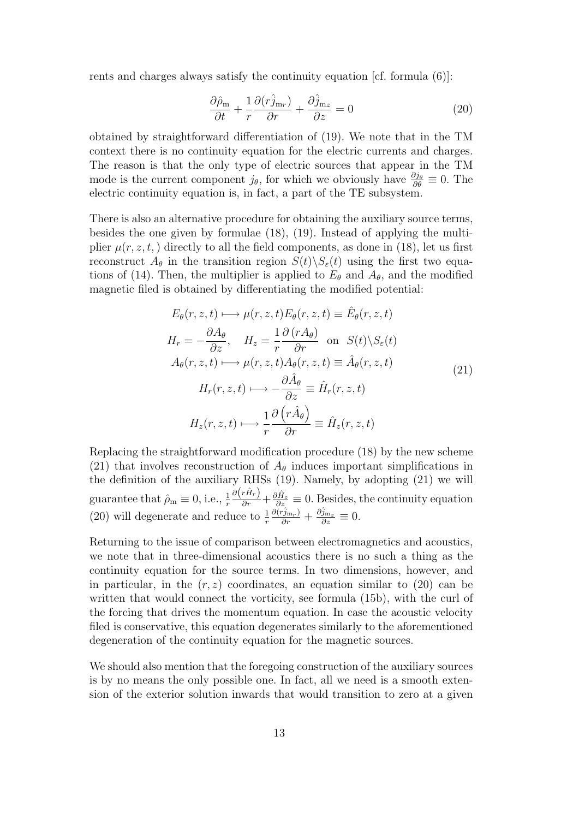rents and charges always satisfy the continuity equation [cf. formula (6)]:

$$
\frac{\partial \hat{\rho}_{\rm m}}{\partial t} + \frac{1}{r} \frac{\partial (r \hat{j}_{\rm m}r)}{\partial r} + \frac{\partial \hat{j}_{\rm m}r}{\partial z} = 0 \tag{20}
$$

obtained by straightforward differentiation of (19). We note that in the TM context there is no continuity equation for the electric currents and charges. The reason is that the only type of electric sources that appear in the TM mode is the current component  $j_{\theta}$ , for which we obviously have  $\frac{\partial j_{\theta}}{\partial \theta} \equiv 0$ . The electric continuity equation is, in fact, a part of the TE subsystem.

There is also an alternative procedure for obtaining the auxiliary source terms, besides the one given by formulae (18), (19). Instead of applying the multiplier  $\mu(r, z, t)$  directly to all the field components, as done in (18), let us first reconstruct  $A_{\theta}$  in the transition region  $S(t)\backslash S_{\varepsilon}(t)$  using the first two equations of (14). Then, the multiplier is applied to  $E_{\theta}$  and  $A_{\theta}$ , and the modified magnetic filed is obtained by differentiating the modified potential:

$$
E_{\theta}(r, z, t) \longmapsto \mu(r, z, t) E_{\theta}(r, z, t) \equiv \hat{E}_{\theta}(r, z, t)
$$
  
\n
$$
H_{r} = -\frac{\partial A_{\theta}}{\partial z}, \quad H_{z} = \frac{1}{r} \frac{\partial (r A_{\theta})}{\partial r} \quad \text{on} \quad S(t) \setminus S_{\varepsilon}(t)
$$
  
\n
$$
A_{\theta}(r, z, t) \longmapsto \mu(r, z, t) A_{\theta}(r, z, t) \equiv \hat{A}_{\theta}(r, z, t)
$$
  
\n
$$
H_{r}(r, z, t) \longmapsto -\frac{\partial \hat{A}_{\theta}}{\partial z} \equiv \hat{H}_{r}(r, z, t)
$$
  
\n
$$
H_{z}(r, z, t) \longmapsto \frac{1}{r} \frac{\partial (r \hat{A}_{\theta})}{\partial r} \equiv \hat{H}_{z}(r, z, t)
$$
\n(21)

Replacing the straightforward modification procedure (18) by the new scheme (21) that involves reconstruction of  $A_{\theta}$  induces important simplifications in the definition of the auxiliary RHSs (19). Namely, by adopting (21) we will guarantee that  $\hat{\rho}_m \equiv 0$ , i.e.,  $\frac{1}{r}$  $\frac{\partial (r\hat{H}_r)}{\partial r} + \frac{\partial \hat{H}_z}{\partial z} \equiv 0$ . Besides, the continuity equation (20) will degenerate and reduce to  $\frac{1}{r}$  $\frac{\partial(\hat{r}_{j_{\mathrm{m}_r}})}{\partial r} + \frac{\partial \hat{j}_{\mathrm{m}_z}}{\partial z} \equiv 0.$ 

Returning to the issue of comparison between electromagnetics and acoustics, we note that in three-dimensional acoustics there is no such a thing as the continuity equation for the source terms. In two dimensions, however, and in particular, in the  $(r, z)$  coordinates, an equation similar to (20) can be written that would connect the vorticity, see formula (15b), with the curl of the forcing that drives the momentum equation. In case the acoustic velocity filed is conservative, this equation degenerates similarly to the aforementioned degeneration of the continuity equation for the magnetic sources.

We should also mention that the foregoing construction of the auxiliary sources is by no means the only possible one. In fact, all we need is a smooth extension of the exterior solution inwards that would transition to zero at a given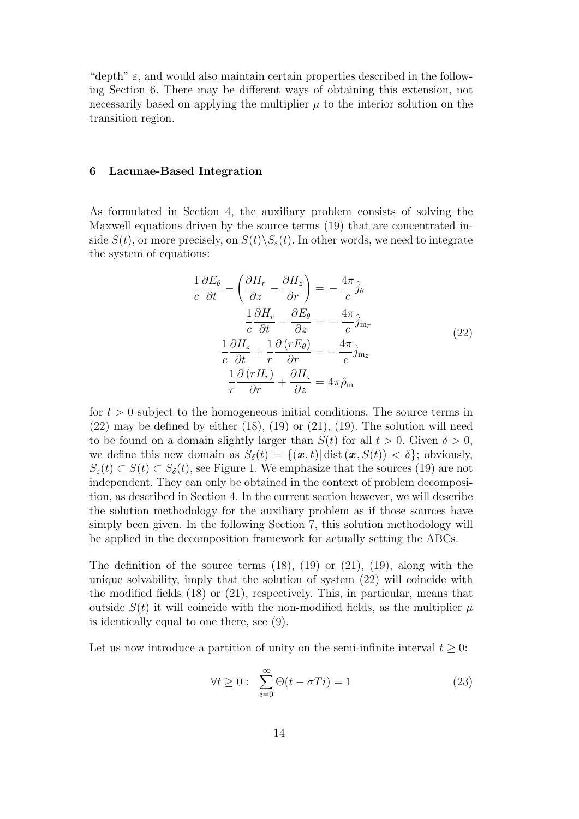"depth"  $\varepsilon$ , and would also maintain certain properties described in the following Section 6. There may be different ways of obtaining this extension, not necessarily based on applying the multiplier  $\mu$  to the interior solution on the transition region.

#### 6 Lacunae-Based Integration

As formulated in Section 4, the auxiliary problem consists of solving the Maxwell equations driven by the source terms (19) that are concentrated inside  $S(t)$ , or more precisely, on  $S(t)\backslash S_{\varepsilon}(t)$ . In other words, we need to integrate the system of equations:

$$
\frac{1}{c}\frac{\partial E_{\theta}}{\partial t} - \left(\frac{\partial H_r}{\partial z} - \frac{\partial H_z}{\partial r}\right) = -\frac{4\pi}{c}\hat{j}_{\theta}
$$
\n
$$
\frac{1}{c}\frac{\partial H_r}{\partial t} - \frac{\partial E_{\theta}}{\partial z} = -\frac{4\pi}{c}\hat{j}_{\text{m}_r}
$$
\n
$$
\frac{1}{c}\frac{\partial H_z}{\partial t} + \frac{1}{r}\frac{\partial (rE_{\theta})}{\partial r} = -\frac{4\pi}{c}\hat{j}_{\text{m}_z}
$$
\n
$$
\frac{1}{r}\frac{\partial (rH_r)}{\partial r} + \frac{\partial H_z}{\partial z} = 4\pi\hat{\rho}_{\text{m}}
$$
\n(22)

for  $t > 0$  subject to the homogeneous initial conditions. The source terms in  $(22)$  may be defined by either  $(18)$ ,  $(19)$  or  $(21)$ ,  $(19)$ . The solution will need to be found on a domain slightly larger than  $S(t)$  for all  $t > 0$ . Given  $\delta > 0$ , we define this new domain as  $S_{\delta}(t) = \{(\boldsymbol{x},t) | \text{dist}(\boldsymbol{x},S(t)) < \delta\}$ ; obviously,  $S_{\varepsilon}(t) \subset S(t) \subset S_{\delta}(t)$ , see Figure 1. We emphasize that the sources (19) are not independent. They can only be obtained in the context of problem decomposition, as described in Section 4. In the current section however, we will describe the solution methodology for the auxiliary problem as if those sources have simply been given. In the following Section 7, this solution methodology will be applied in the decomposition framework for actually setting the ABCs.

The definition of the source terms  $(18)$ ,  $(19)$  or  $(21)$ ,  $(19)$ , along with the unique solvability, imply that the solution of system (22) will coincide with the modified fields (18) or (21), respectively. This, in particular, means that outside  $S(t)$  it will coincide with the non-modified fields, as the multiplier  $\mu$ is identically equal to one there, see (9).

Let us now introduce a partition of unity on the semi-infinite interval  $t \geq 0$ :

$$
\forall t \ge 0: \sum_{i=0}^{\infty} \Theta(t - \sigma T i) = 1 \tag{23}
$$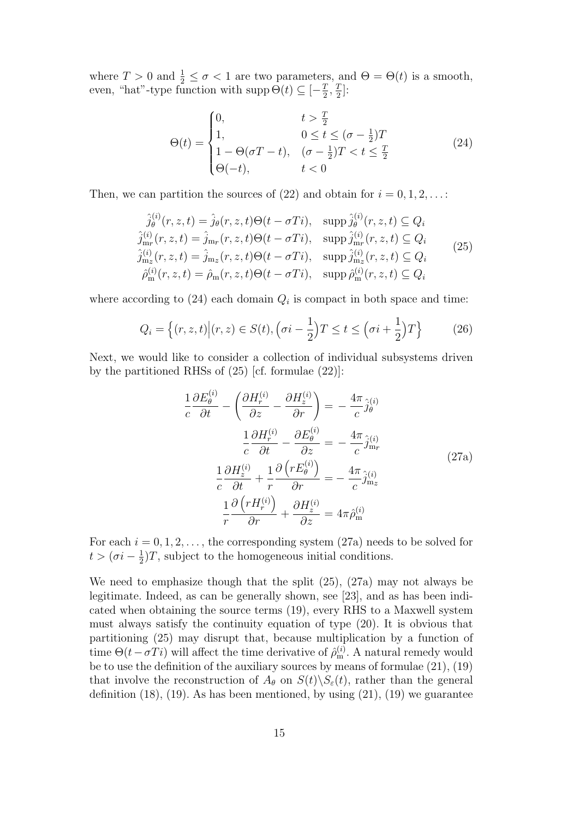where  $T > 0$  and  $\frac{1}{2} \leq \sigma < 1$  are two parameters, and  $\Theta = \Theta(t)$  is a smooth, even, "hat"-type function with supp  $\Theta(t) \subseteq [-\frac{7}{2}]$  $\frac{T}{2}, \frac{T}{2}$  $\frac{T}{2}$ :

$$
\Theta(t) = \begin{cases} 0, & t > \frac{T}{2} \\ 1, & 0 \le t \le (\sigma - \frac{1}{2})T \\ 1 - \Theta(\sigma T - t), & (\sigma - \frac{1}{2})T < t \le \frac{T}{2} \\ \Theta(-t), & t < 0 \end{cases} \tag{24}
$$

Then, we can partition the sources of  $(22)$  and obtain for  $i = 0, 1, 2, \ldots$ :

$$
\hat{j}_{\theta}^{(i)}(r, z, t) = \hat{j}_{\theta}(r, z, t)\Theta(t - \sigma Ti), \quad \text{supp}\,\hat{j}_{\theta}^{(i)}(r, z, t) \subseteq Q_i
$$
\n
$$
\hat{j}_{\text{m}_r}^{(i)}(r, z, t) = \hat{j}_{\text{m}_r}(r, z, t)\Theta(t - \sigma Ti), \quad \text{supp}\,\hat{j}_{\text{m}_r}^{(i)}(r, z, t) \subseteq Q_i
$$
\n
$$
\hat{j}_{\text{m}_z}^{(i)}(r, z, t) = \hat{j}_{\text{m}_z}(r, z, t)\Theta(t - \sigma Ti), \quad \text{supp}\,\hat{j}_{\text{m}_z}^{(i)}(r, z, t) \subseteq Q_i
$$
\n
$$
\hat{\rho}_{\text{m}}^{(i)}(r, z, t) = \hat{\rho}_{\text{m}}(r, z, t)\Theta(t - \sigma Ti), \quad \text{supp}\,\hat{\rho}_{\text{m}}^{(i)}(r, z, t) \subseteq Q_i
$$
\n(25)

where according to  $(24)$  each domain  $Q_i$  is compact in both space and time:

$$
Q_i = \left\{ (r, z, t) \Big| (r, z) \in S(t), \left( \sigma i - \frac{1}{2} \right) T \le t \le \left( \sigma i + \frac{1}{2} \right) T \right\}
$$
 (26)

Next, we would like to consider a collection of individual subsystems driven by the partitioned RHSs of (25) [cf. formulae (22)]:

$$
\frac{1}{c}\frac{\partial E_{\theta}^{(i)}}{\partial t} - \left(\frac{\partial H_{r}^{(i)}}{\partial z} - \frac{\partial H_{z}^{(i)}}{\partial r}\right) = -\frac{4\pi}{c}\hat{j}_{\theta}^{(i)}
$$
\n
$$
\frac{1}{c}\frac{\partial H_{r}^{(i)}}{\partial t} - \frac{\partial E_{\theta}^{(i)}}{\partial z} = -\frac{4\pi}{c}\hat{j}_{\text{m}_r}^{(i)}
$$
\n
$$
\frac{1}{c}\frac{\partial H_{z}^{(i)}}{\partial t} + \frac{1}{r}\frac{\partial \left(rE_{\theta}^{(i)}\right)}{\partial r} = -\frac{4\pi}{c}\hat{j}_{\text{m}_z}^{(i)}
$$
\n
$$
\frac{1}{r}\frac{\partial \left(rH_{r}^{(i)}\right)}{\partial r} + \frac{\partial H_{z}^{(i)}}{\partial z} = 4\pi\hat{\rho}_{\text{m}}^{(i)}
$$
\n(27a)

For each  $i = 0, 1, 2, \ldots$ , the corresponding system (27a) needs to be solved for  $t > (\sigma i - \frac{1}{2})$  $\frac{1}{2}$ )T, subject to the homogeneous initial conditions.

We need to emphasize though that the split (25), (27a) may not always be legitimate. Indeed, as can be generally shown, see [23], and as has been indicated when obtaining the source terms (19), every RHS to a Maxwell system must always satisfy the continuity equation of type (20). It is obvious that partitioning (25) may disrupt that, because multiplication by a function of time  $\Theta(t - \sigma T i)$  will affect the time derivative of  $\hat{\rho}_{m}^{(i)}$ . A natural remedy would be to use the definition of the auxiliary sources by means of formulae (21), (19) that involve the reconstruction of  $A_{\theta}$  on  $S(t)\backslash S_{\varepsilon}(t)$ , rather than the general definition  $(18)$ ,  $(19)$ . As has been mentioned, by using  $(21)$ ,  $(19)$  we guarantee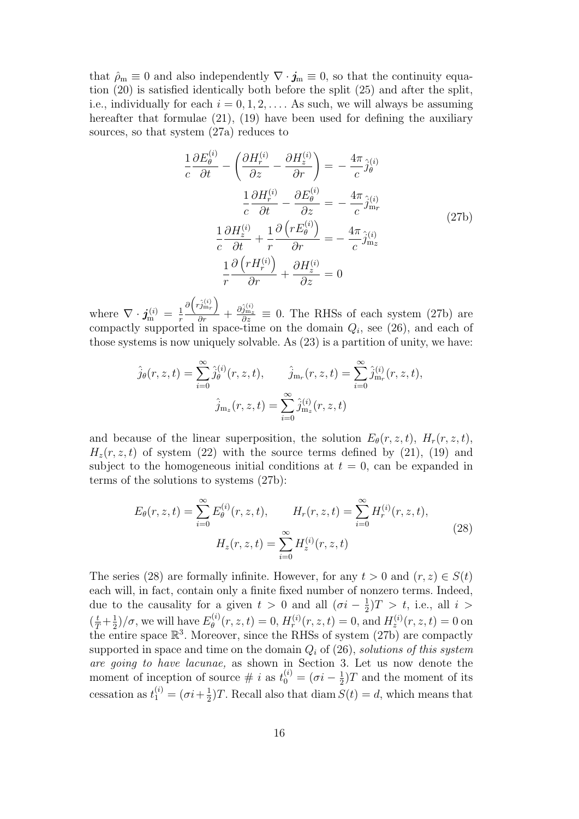that  $\rho_m \equiv 0$  and also independently  $\nabla \cdot \mathbf{j}_m \equiv 0$ , so that the continuity equation (20) is satisfied identically both before the split (25) and after the split, i.e., individually for each  $i = 0, 1, 2, \ldots$ . As such, we will always be assuming hereafter that formulae (21), (19) have been used for defining the auxiliary sources, so that system (27a) reduces to

$$
\frac{1}{c}\frac{\partial E_{\theta}^{(i)}}{\partial t} - \left(\frac{\partial H_{r}^{(i)}}{\partial z} - \frac{\partial H_{z}^{(i)}}{\partial r}\right) = -\frac{4\pi}{c}\hat{j}_{\theta}^{(i)}
$$
\n
$$
\frac{1}{c}\frac{\partial H_{r}^{(i)}}{\partial t} - \frac{\partial E_{\theta}^{(i)}}{\partial z} = -\frac{4\pi}{c}\hat{j}_{\text{m}r}^{(i)}
$$
\n
$$
\frac{1}{c}\frac{\partial H_{z}^{(i)}}{\partial t} + \frac{1}{r}\frac{\partial (rE_{\theta}^{(i)})}{\partial r} = -\frac{4\pi}{c}\hat{j}_{\text{m}z}^{(i)}
$$
\n
$$
\frac{1}{r}\frac{\partial (rH_{r}^{(i)})}{\partial r} + \frac{\partial H_{z}^{(i)}}{\partial z} = 0
$$
\n(27b)

where  $\nabla \cdot \textbf{\textit{j}}_{\text{m}}^{(i)} = \frac{1}{r}$ r  $\partial\left(\hat{r_{j\mathrm{m}_r}^{(i)}}\right)$  $\frac{\partial \hat{m}_r}{\partial r}$  +  $\frac{\partial \hat{j}_m^{(i)}(z)}{\partial z} \equiv 0$ . The RHSs of each system (27b) are compactly supported in space-time on the domain  $Q_i$ , see (26), and each of those systems is now uniquely solvable. As (23) is a partition of unity, we have:

$$
\hat{j}_{\theta}(r, z, t) = \sum_{i=0}^{\infty} \hat{j}_{\theta}^{(i)}(r, z, t), \qquad \hat{j}_{\mathbf{m}_{r}}(r, z, t) = \sum_{i=0}^{\infty} \hat{j}_{\mathbf{m}_{r}}^{(i)}(r, z, t),
$$

$$
\hat{j}_{\mathbf{m}_{z}}(r, z, t) = \sum_{i=0}^{\infty} \hat{j}_{\mathbf{m}_{z}}^{(i)}(r, z, t)
$$

and because of the linear superposition, the solution  $E_{\theta}(r, z, t)$ ,  $H_r(r, z, t)$ ,  $H_z(r, z, t)$  of system (22) with the source terms defined by (21), (19) and subject to the homogeneous initial conditions at  $t = 0$ , can be expanded in terms of the solutions to systems (27b):

$$
E_{\theta}(r, z, t) = \sum_{i=0}^{\infty} E_{\theta}^{(i)}(r, z, t), \qquad H_r(r, z, t) = \sum_{i=0}^{\infty} H_r^{(i)}(r, z, t),
$$
  

$$
H_z(r, z, t) = \sum_{i=0}^{\infty} H_z^{(i)}(r, z, t)
$$
 (28)

The series (28) are formally infinite. However, for any  $t > 0$  and  $(r, z) \in S(t)$ each will, in fact, contain only a finite fixed number of nonzero terms. Indeed, due to the causality for a given  $t > 0$  and all  $(\sigma i - \frac{1}{2})$  $(\frac{1}{2})T > t$ , i.e., all  $i >$  $\left(\frac{t}{T} + \frac{1}{2}\right)$  $\frac{1}{2}$ )/ $\sigma$ , we will have  $E_{\theta}^{(i)}$  $\mathcal{H}_{\theta}^{(i)}(r,z,t) = 0, H_{r}^{(i)}(r,z,t) = 0, \text{and } H_{z}^{(i)}(r,z,t) = 0 \text{ on }$ the entire space  $\mathbb{R}^3$ . Moreover, since the RHSs of system (27b) are compactly supported in space and time on the domain  $Q_i$  of (26), solutions of this system are going to have lacunae, as shown in Section 3. Let us now denote the moment of inception of source  $\#\ i$  as  $t_0^{(i)} = (\sigma i - \frac{1}{2})$  $\frac{1}{2}$ )T and the moment of its cessation as  $t_1^{(i)} = (\sigma i + \frac{1}{2})$  $\frac{1}{2}$ )T. Recall also that diam  $S(t) = d$ , which means that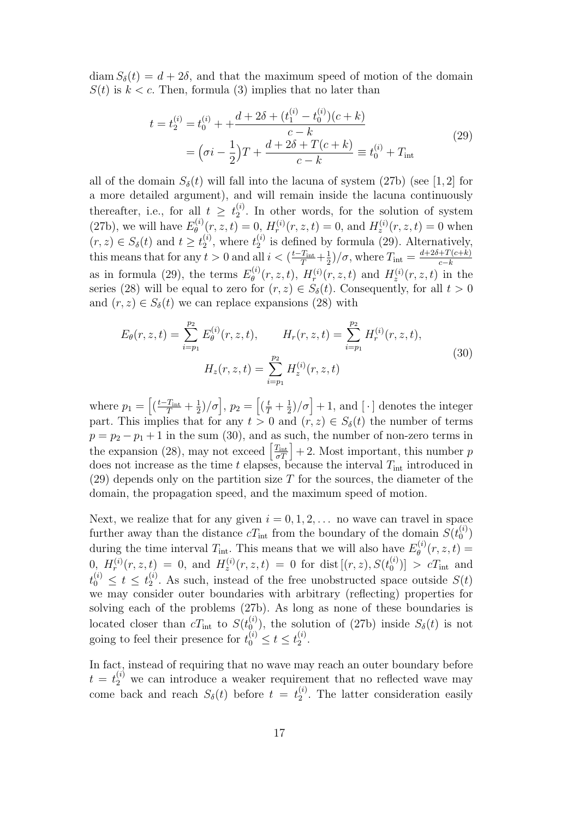diam  $S_\delta(t) = d + 2\delta$ , and that the maximum speed of motion of the domain  $S(t)$  is  $k < c$ . Then, formula (3) implies that no later than

$$
t = t_2^{(i)} = t_0^{(i)} + \frac{d + 2\delta + (t_1^{(i)} - t_0^{(i)})(c + k)}{c - k}
$$
  
= 
$$
(\sigma i - \frac{1}{2})T + \frac{d + 2\delta + T(c + k)}{c - k} \equiv t_0^{(i)} + T_{\text{int}}
$$
 (29)

all of the domain  $S_{\delta}(t)$  will fall into the lacuna of system (27b) (see [1, 2] for a more detailed argument), and will remain inside the lacuna continuously thereafter, i.e., for all  $t \geq t_2^{(i)}$  $2^{(i)}$ . In other words, for the solution of system (27b), we will have  $E_{\theta}^{(i)}$  $\mathcal{H}_{\theta}^{(i)}(r, z, t) = 0, H_r^{(i)}(r, z, t) = 0, \text{ and } H_z^{(i)}(r, z, t) = 0 \text{ when } t \in \mathbb{R}$  $(r, z) \in S_{\delta}(t)$  and  $t \geq t_2^{(i)}$  $\binom{i}{2}$ , where  $t_2^{(i)}$  $\binom{1}{2}$  is defined by formula (29). Alternatively, this means that for any  $t > 0$  and all  $i < (\frac{t-T_{\text{int}}}{T} + \frac{1}{2})$  $\frac{1}{2}$ / $\sigma$ , where  $T_{\text{int}} = \frac{d+2\delta+T(c+k)}{c-k}$ as in formula (29), the terms  $E_{\theta}^{(i)}$  $H_{\theta}^{(i)}(r, z, t)$ ,  $H_{r}^{(i)}(r, z, t)$  and  $H_{z}^{(i)}(r, z, t)$  in the series (28) will be equal to zero for  $(r, z) \in S_\delta(t)$ . Consequently, for all  $t > 0$ and  $(r, z) \in S_\delta(t)$  we can replace expansions (28) with

$$
E_{\theta}(r, z, t) = \sum_{i=p_1}^{p_2} E_{\theta}^{(i)}(r, z, t), \qquad H_r(r, z, t) = \sum_{i=p_1}^{p_2} H_r^{(i)}(r, z, t),
$$
  

$$
H_z(r, z, t) = \sum_{i=p_1}^{p_2} H_z^{(i)}(r, z, t)
$$
(30)

where  $p_1 = \left[\left(\frac{t-T_{\text{int}}}{T} + \frac{1}{2}\right)\right]$  $\left[\frac{1}{2}\right]$ *(* $\sigma$ ],  $p_2 = \left[(\frac{t}{T} + \frac{1}{2})\right]$  $\frac{1}{2}$ / $\sigma$  + 1, and [·] denotes the integer part. This implies that for any  $t > 0$  and  $(r, z) \in S_\delta(t)$  the number of terms  $p = p_2 - p_1 + 1$  in the sum (30), and as such, the number of non-zero terms in the expansion (28), may not exceed  $\left[\frac{T_{\text{int}}}{\sigma T}\right] + 2$ . Most important, this number p does not increase as the time t elapses, because the interval  $T_{\text{int}}$  introduced in  $(29)$  depends only on the partition size T for the sources, the diameter of the domain, the propagation speed, and the maximum speed of motion.

Next, we realize that for any given  $i = 0, 1, 2, \ldots$  no wave can travel in space further away than the distance  $cT_{\text{int}}$  from the boundary of the domain  $S(t_0^{(i)})$  $\binom{2}{0}$ during the time interval  $T_{\text{int}}$ . This means that we will also have  $E_{\theta}^{(i)}$  $\theta^{(i)}_{\theta}(r,z,t) =$  $(0,\;H_{r}^{(i)}(r,z,t)\;=\;0,\;\textrm{and}\;\,H_{z}^{(i)}(r,z,t)\;=\;0\;\,\textrm{for}\;\,\textrm{dist}\left[(r,z),S(t_{0}^{(i)})\right]$  $\binom{0}{0}$  >  $cT_{\text{int}}$  and  $t_0^{(i)} \leq t \leq t_2^{(i)}$  $2^{(i)}$ . As such, instead of the free unobstructed space outside  $S(t)$ we may consider outer boundaries with arbitrary (reflecting) properties for solving each of the problems (27b). As long as none of these boundaries is located closer than  $cT_{\text{int}}$  to  $S(t_0^{(i)})$  $\binom{a}{0}$ , the solution of (27b) inside  $S_{\delta}(t)$  is not going to feel their presence for  $t_0^{(i)} \le t \le t_2^{(i)}$  $\frac{(i)}{2}$ .

In fact, instead of requiring that no wave may reach an outer boundary before  $t = t_2^{(i)}$  we can introduce a weaker requirement that no reflected wave may come back and reach  $S_{\delta}(t)$  before  $t = t_2^{(i)}$  $2^{\binom{l}{2}}$ . The latter consideration easily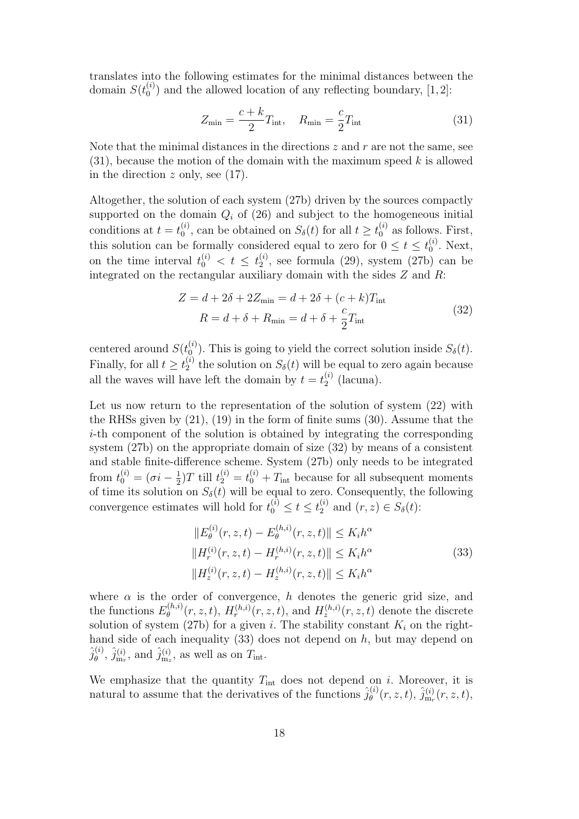translates into the following estimates for the minimal distances between the domain  $S(t_0^{(i)})$  $\binom{1}{0}$  and the allowed location of any reflecting boundary, [1,2]:

$$
Z_{\min} = \frac{c+k}{2} T_{\text{int}}, \quad R_{\min} = \frac{c}{2} T_{\text{int}} \tag{31}
$$

Note that the minimal distances in the directions  $z$  and  $r$  are not the same, see  $(31)$ , because the motion of the domain with the maximum speed k is allowed in the direction  $z$  only, see (17).

Altogether, the solution of each system (27b) driven by the sources compactly supported on the domain  $Q_i$  of (26) and subject to the homogeneous initial conditions at  $t=t_0^{(i)}$  $S_0^{(i)}$ , can be obtained on  $S_\delta(t)$  for all  $t \geq t_0^{(i)}$  as follows. First, this solution can be formally considered equal to zero for  $0 \le t \le t_0^{(i)}$  $\mathbf{0}^{(i)}$ . Next, on the time interval  $t_0^{(i)} < t \leq t_2^{(i)}$  $2<sup>(1)</sup>$ , see formula (29), system (27b) can be integrated on the rectangular auxiliary domain with the sides  $Z$  and  $R$ :

$$
Z = d + 2\delta + 2Z_{\min} = d + 2\delta + (c + k)T_{\text{int}}
$$
  
\n
$$
R = d + \delta + R_{\min} = d + \delta + \frac{c}{2}T_{\text{int}}
$$
\n(32)

centered around  $S(t_0^{(i)})$  $\binom{0}{0}$ . This is going to yield the correct solution inside  $S_{\delta}(t)$ . Finally, for all  $t \geq t_2^{(i)}$  $S_{\delta}(t)$  will be equal to zero again because all the waves will have left the domain by  $t = t_2^{(i)}$  $\binom{1}{2}$  (lacuna).

Let us now return to the representation of the solution of system  $(22)$  with the RHSs given by (21), (19) in the form of finite sums (30). Assume that the i-th component of the solution is obtained by integrating the corresponding system (27b) on the appropriate domain of size (32) by means of a consistent and stable finite-difference scheme. System (27b) only needs to be integrated from  $t_0^{(i)} = (\sigma_i - \frac{1}{2})$  $\frac{1}{2}$ )T till  $t_2^{(i)} = t_0^{(i)} + T_{\text{int}}$  because for all subsequent moments of time its solution on  $S_{\delta}(t)$  will be equal to zero. Consequently, the following convergence estimates will hold for  $t_0^{(i)} \le t \le t_2^{(i)}$  and  $(r, z) \in S_\delta(t)$ :

$$
||E_{\theta}^{(i)}(r, z, t) - E_{\theta}^{(h,i)}(r, z, t)|| \le K_i h^{\alpha}
$$
  
\n
$$
||H_r^{(i)}(r, z, t) - H_r^{(h,i)}(r, z, t)|| \le K_i h^{\alpha}
$$
  
\n
$$
||H_z^{(i)}(r, z, t) - H_z^{(h,i)}(r, z, t)|| \le K_i h^{\alpha}
$$
\n(33)

where  $\alpha$  is the order of convergence, h denotes the generic grid size, and the functions  $E_{\theta}^{(h,i)}$  $\theta_{\theta}^{(h,i)}(r, z, t)$ ,  $H_r^{(h,i)}(r, z, t)$ , and  $H_z^{(h,i)}(r, z, t)$  denote the discrete solution of system (27b) for a given i. The stability constant  $K_i$  on the righthand side of each inequality  $(33)$  does not depend on h, but may depend on  $\hat{j}^{(i)}_{\theta}$  $\hat{\theta}^{(i)}$ ,  $\hat{j}^{(i)}_{m_r}$ , and  $\hat{j}^{(i)}_{m_z}$ , as well as on  $T_{\text{int}}$ .

We emphasize that the quantity  $T_{int}$  does not depend on i. Moreover, it is natural to assume that the derivatives of the functions  $\hat{j}_{\theta}^{(i)}$  $\hat{\theta}^{(i)}(r,z,t),\,\hat{j}^{(i)}_{\text{m}_r}(r,z,t),$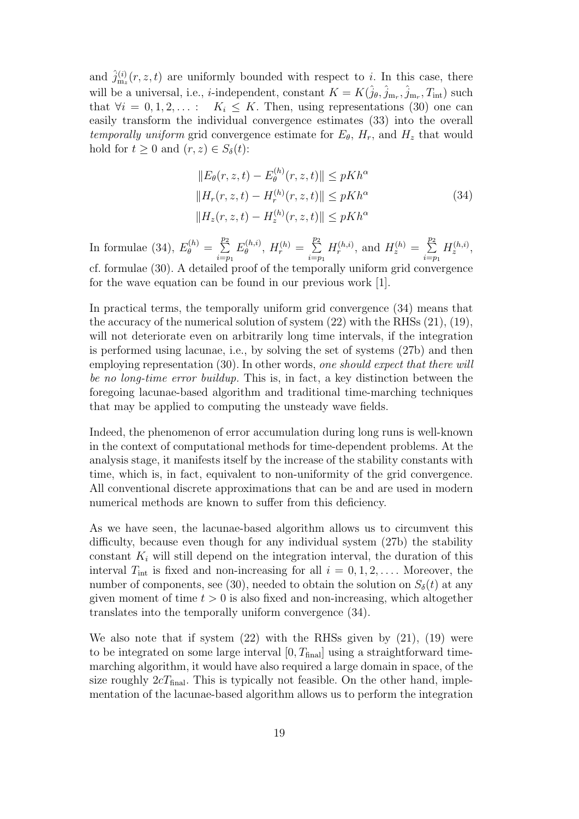and  $\hat{j}^{(i)}_{m_z}(r, z, t)$  are uniformly bounded with respect to i. In this case, there will be a universal, i.e., *i*-independent, constant  $K = K(\hat{j}_{\theta}, \hat{j}_{m_r}, \hat{j}_{m_r}, T_{int})$  such that  $\forall i = 0, 1, 2, \ldots :$   $K_i \leq K$ . Then, using representations (30) one can easily transform the individual convergence estimates (33) into the overall temporally uniform grid convergence estimate for  $E_{\theta}$ ,  $H_r$ , and  $H_z$  that would hold for  $t \geq 0$  and  $(r, z) \in S_{\delta}(t)$ :

$$
||E_{\theta}(r, z, t) - E_{\theta}^{(h)}(r, z, t)|| \le pKh^{\alpha}
$$
  
\n
$$
||H_r(r, z, t) - H_r^{(h)}(r, z, t)|| \le pKh^{\alpha}
$$
  
\n
$$
||H_z(r, z, t) - H_z^{(h)}(r, z, t)|| \le pKh^{\alpha}
$$
\n(34)

In formulae (34),  $E_{\theta}^{(h)} = \sum_{n=1}^{p}$  $\overline{p}_2$  $i=p_1$  $E_{\theta}^{(h,i)}$  $\theta^{(h,i)}$ ,  $H_r^{(h)} = \sum_{n=1}^{n}$  $\overline{p}_2$  $i=p_1$  $H_r^{(h,i)}$ , and  $H_z^{(h)} = \sum_{n=1}^{n}$  $\overline{p}_2$  $i=p_1$  $H_z^{(h,i)},$ cf. formulae (30). A detailed proof of the temporally uniform grid convergence for the wave equation can be found in our previous work [1].

In practical terms, the temporally uniform grid convergence (34) means that the accuracy of the numerical solution of system (22) with the RHSs (21), (19), will not deteriorate even on arbitrarily long time intervals, if the integration is performed using lacunae, i.e., by solving the set of systems (27b) and then employing representation (30). In other words, one should expect that there will be no long-time error buildup. This is, in fact, a key distinction between the foregoing lacunae-based algorithm and traditional time-marching techniques that may be applied to computing the unsteady wave fields.

Indeed, the phenomenon of error accumulation during long runs is well-known in the context of computational methods for time-dependent problems. At the analysis stage, it manifests itself by the increase of the stability constants with time, which is, in fact, equivalent to non-uniformity of the grid convergence. All conventional discrete approximations that can be and are used in modern numerical methods are known to suffer from this deficiency.

As we have seen, the lacunae-based algorithm allows us to circumvent this difficulty, because even though for any individual system (27b) the stability constant  $K_i$  will still depend on the integration interval, the duration of this interval  $T_{\text{int}}$  is fixed and non-increasing for all  $i = 0, 1, 2, \ldots$ . Moreover, the number of components, see (30), needed to obtain the solution on  $S_{\delta}(t)$  at any given moment of time  $t > 0$  is also fixed and non-increasing, which altogether translates into the temporally uniform convergence (34).

We also note that if system  $(22)$  with the RHSs given by  $(21)$ ,  $(19)$  were to be integrated on some large interval  $[0, T<sub>final</sub>]$  using a straightforward timemarching algorithm, it would have also required a large domain in space, of the size roughly  $2cT_{final}$ . This is typically not feasible. On the other hand, implementation of the lacunae-based algorithm allows us to perform the integration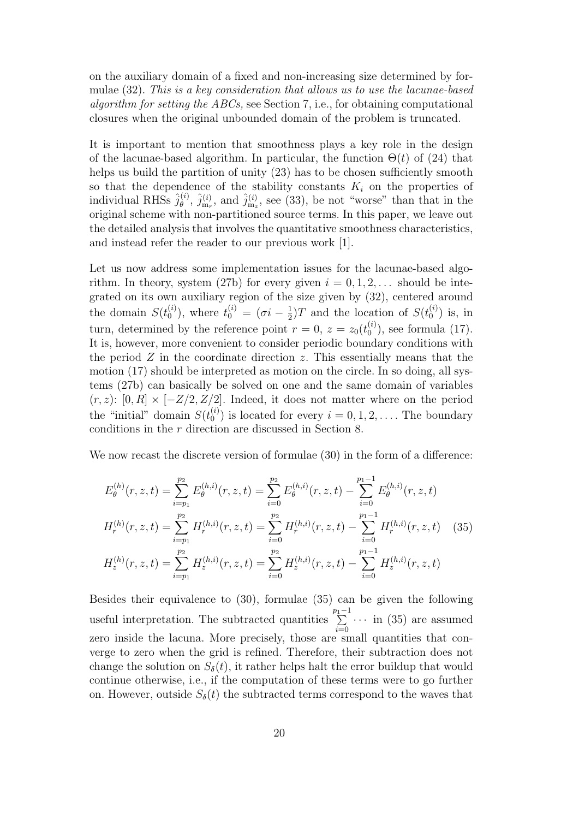on the auxiliary domain of a fixed and non-increasing size determined by formulae (32). This is a key consideration that allows us to use the lacunae-based algorithm for setting the ABCs, see Section 7, i.e., for obtaining computational closures when the original unbounded domain of the problem is truncated.

It is important to mention that smoothness plays a key role in the design of the lacunae-based algorithm. In particular, the function  $\Theta(t)$  of (24) that helps us build the partition of unity  $(23)$  has to be chosen sufficiently smooth so that the dependence of the stability constants  $K_i$  on the properties of individual RHSs  $\hat{j}_{\theta}^{(i)}$  $\hat{\theta}^{(i)}$ ,  $\hat{j}^{(i)}_{m_r}$ , and  $\hat{j}^{(i)}_{m_z}$ , see (33), be not "worse" than that in the original scheme with non-partitioned source terms. In this paper, we leave out the detailed analysis that involves the quantitative smoothness characteristics, and instead refer the reader to our previous work [1].

Let us now address some implementation issues for the lacunae-based algorithm. In theory, system (27b) for every given  $i = 0, 1, 2, \ldots$  should be integrated on its own auxiliary region of the size given by (32), centered around the domain  $S(t_0^{(i)})$  $\binom{1}{0}$ , where  $t_0^{(i)} = (\sigma i - \frac{1}{2})$  $(\frac{1}{2})T$  and the location of  $S(t_0^{(i)})$  $\binom{v}{0}$  is, in turn, determined by the reference point  $r = 0$ ,  $z = z_0(t_0^{(i)})$  $\binom{0}{0}$ , see formula (17). It is, however, more convenient to consider periodic boundary conditions with the period  $Z$  in the coordinate direction  $z$ . This essentially means that the motion (17) should be interpreted as motion on the circle. In so doing, all systems (27b) can basically be solved on one and the same domain of variables  $(r, z)$ :  $[0, R] \times [-Z/2, Z/2]$ . Indeed, it does not matter where on the period the "initial" domain  $S(t_0^{(i)})$  $\binom{1}{0}$  is located for every  $i = 0, 1, 2, \ldots$ . The boundary conditions in the r direction are discussed in Section 8.

We now recast the discrete version of formulae (30) in the form of a difference:

$$
E_{\theta}^{(h)}(r, z, t) = \sum_{i=p_1}^{p_2} E_{\theta}^{(h,i)}(r, z, t) = \sum_{i=0}^{p_2} E_{\theta}^{(h,i)}(r, z, t) - \sum_{i=0}^{p_1-1} E_{\theta}^{(h,i)}(r, z, t)
$$
  
\n
$$
H_r^{(h)}(r, z, t) = \sum_{i=p_1}^{p_2} H_r^{(h,i)}(r, z, t) = \sum_{i=0}^{p_2} H_r^{(h,i)}(r, z, t) - \sum_{i=0}^{p_1-1} H_r^{(h,i)}(r, z, t)
$$
 (35)  
\n
$$
H_z^{(h)}(r, z, t) = \sum_{i=p_1}^{p_2} H_z^{(h,i)}(r, z, t) = \sum_{i=0}^{p_2} H_z^{(h,i)}(r, z, t) - \sum_{i=0}^{p_1-1} H_z^{(h,i)}(r, z, t)
$$

Besides their equivalence to (30), formulae (35) can be given the following useful interpretation. The subtracted quantities  $\sum_{n=1}^{p_1-1}$  $i=0$  $\cdots$  in (35) are assumed zero inside the lacuna. More precisely, those are small quantities that converge to zero when the grid is refined. Therefore, their subtraction does not change the solution on  $S_{\delta}(t)$ , it rather helps halt the error buildup that would continue otherwise, i.e., if the computation of these terms were to go further on. However, outside  $S_{\delta}(t)$  the subtracted terms correspond to the waves that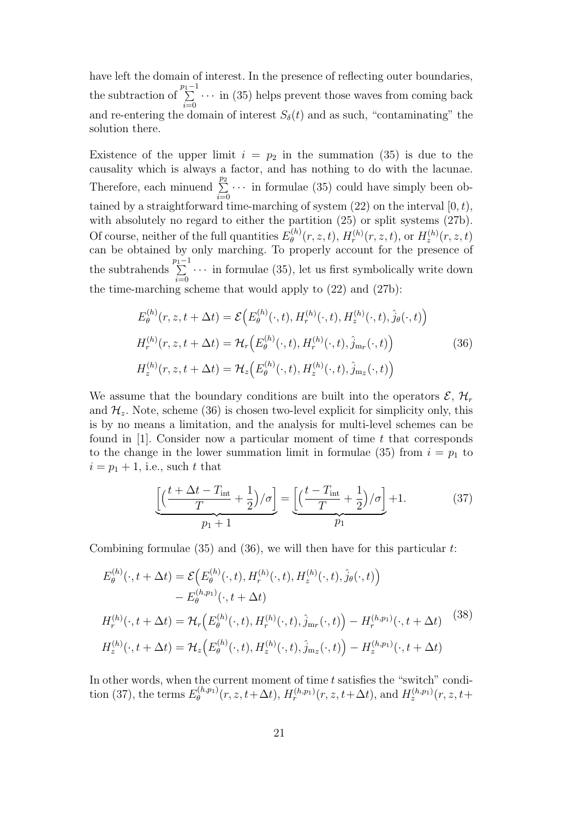have left the domain of interest. In the presence of reflecting outer boundaries, the subtraction of  $\sum_{i=1}^{p_1-1}$  · · · in (35) helps prevent those waves from coming back and re-entering the domain of interest  $S_{\delta}(t)$  and as such, "contaminating" the solution there.

Existence of the upper limit  $i = p_2$  in the summation (35) is due to the causality which is always a factor, and has nothing to do with the lacunae. Therefore, each minuend  $\sum_{n=1}^{\infty}$  $i=0$  $\cdots$  in formulae (35) could have simply been obtained by a straightforward time-marching of system  $(22)$  on the interval  $[0, t)$ , with absolutely no regard to either the partition  $(25)$  or split systems  $(27b)$ . Of course, neither of the full quantities  $E_{\theta}^{(h)}$  $H_{\theta}^{(h)}(r,z,t), H_{r}^{(h)}(r,z,t), \text{ or } H_{z}^{(h)}(r,z,t)$ can be obtained by only marching. To properly account for the presence of the subtrahends  $\sum_{n=1}^{p_1-1}$  $i=0$  $\cdots$  in formulae (35), let us first symbolically write down the time-marching scheme that would apply to (22) and (27b):

$$
E_{\theta}^{(h)}(r, z, t + \Delta t) = \mathcal{E}\Big(E_{\theta}^{(h)}(\cdot, t), H_{r}^{(h)}(\cdot, t), H_{z}^{(h)}(\cdot, t), \hat{j}_{\theta}(\cdot, t)\Big)
$$
  
\n
$$
H_{r}^{(h)}(r, z, t + \Delta t) = \mathcal{H}_{r}\Big(E_{\theta}^{(h)}(\cdot, t), H_{r}^{(h)}(\cdot, t), \hat{j}_{mr}(\cdot, t)\Big)
$$
  
\n
$$
H_{z}^{(h)}(r, z, t + \Delta t) = \mathcal{H}_{z}\Big(E_{\theta}^{(h)}(\cdot, t), H_{z}^{(h)}(\cdot, t), \hat{j}_{m_{z}}(\cdot, t)\Big)
$$
\n(36)

We assume that the boundary conditions are built into the operators  $\mathcal{E}, \mathcal{H}_r$ and  $\mathcal{H}_z$ . Note, scheme (36) is chosen two-level explicit for simplicity only, this is by no means a limitation, and the analysis for multi-level schemes can be found in  $[1]$ . Consider now a particular moment of time t that corresponds to the change in the lower summation limit in formulae (35) from  $i = p_1$  to  $i = p_1 + 1$ , i.e., such t that

$$
\underbrace{\left[\left(\frac{t+\Delta t - T_{\text{int}}}{T} + \frac{1}{2}\right)/\sigma\right]}_{p_1 + 1} = \underbrace{\left[\left(\frac{t - T_{\text{int}}}{T} + \frac{1}{2}\right)/\sigma\right]}_{p_1} + 1. \tag{37}
$$

Combining formulae  $(35)$  and  $(36)$ , we will then have for this particular t:

$$
E_{\theta}^{(h)}(\cdot, t + \Delta t) = \mathcal{E}\Big(E_{\theta}^{(h)}(\cdot, t), H_{r}^{(h)}(\cdot, t), H_{z}^{(h)}(\cdot, t), \hat{j}_{\theta}(\cdot, t)\Big) - E_{\theta}^{(h, p_1)}(\cdot, t + \Delta t) H_{r}^{(h)}(\cdot, t + \Delta t) = \mathcal{H}_{r}\Big(E_{\theta}^{(h)}(\cdot, t), H_{r}^{(h)}(\cdot, t), \hat{j}_{m_{r}}(\cdot, t)\Big) - H_{r}^{(h, p_1)}(\cdot, t + \Delta t)
$$
(38)  

$$
H_{z}^{(h)}(\cdot, t + \Delta t) = \mathcal{H}_{z}\Big(E_{\theta}^{(h)}(\cdot, t), H_{z}^{(h)}(\cdot, t), \hat{j}_{m_{z}}(\cdot, t)\Big) - H_{z}^{(h, p_1)}(\cdot, t + \Delta t)
$$

In other words, when the current moment of time  $t$  satisfies the "switch" condition (37), the terms  $E_{\theta}^{(h,p_1)}$  $\theta_{\theta}^{(h,p_1)}(r, z, t + \Delta t), H_r^{(h,p_1)}(r, z, t + \Delta t)$ , and  $H_z^{(h,p_1)}(r, z, t + \Delta t)$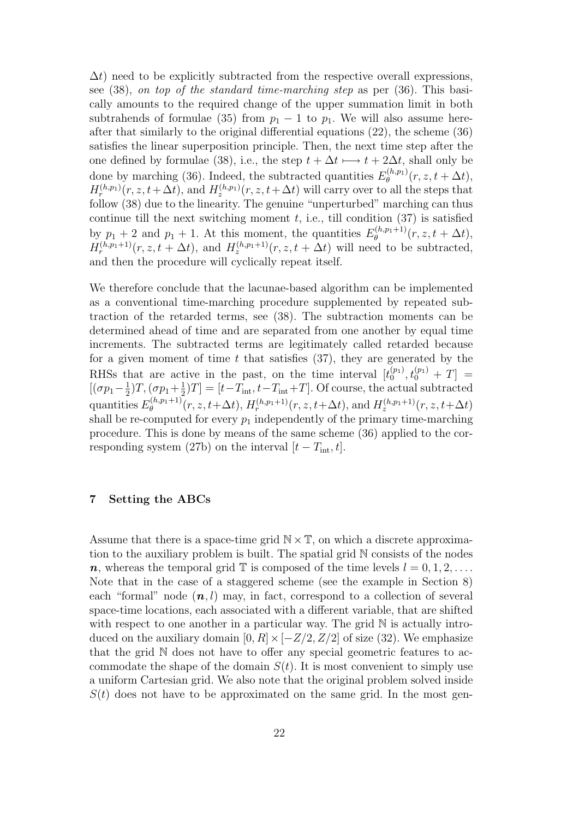$\Delta t$ ) need to be explicitly subtracted from the respective overall expressions, see (38), on top of the standard time-marching step as per (36). This basically amounts to the required change of the upper summation limit in both subtrahends of formulae (35) from  $p_1 - 1$  to  $p_1$ . We will also assume hereafter that similarly to the original differential equations (22), the scheme (36) satisfies the linear superposition principle. Then, the next time step after the one defined by formulae (38), i.e., the step  $t + \Delta t \longmapsto t + 2\Delta t$ , shall only be done by marching (36). Indeed, the subtracted quantities  $E_{\theta}^{(h,p_1)}$  $\partial_{\theta}^{(n,p_1)}(r,z,t+\Delta t),$  $H_r^{(h,p_1)}(r, z, t + \Delta t)$ , and  $H_z^{(h,p_1)}(r, z, t + \Delta t)$  will carry over to all the steps that follow (38) due to the linearity. The genuine "unperturbed" marching can thus continue till the next switching moment  $t$ , i.e., till condition  $(37)$  is satisfied by  $p_1 + 2$  and  $p_1 + 1$ . At this moment, the quantities  $E_{\theta}^{(h,p_1+1)}$  $\partial_{\theta}^{(n,p_1+1)}(r,z,t+\Delta t),$  $H_r^{(h,p_1+1)}(r, z, t + \Delta t)$ , and  $H_z^{(h,p_1+1)}(r, z, t + \Delta t)$  will need to be subtracted, and then the procedure will cyclically repeat itself.

We therefore conclude that the lacunae-based algorithm can be implemented as a conventional time-marching procedure supplemented by repeated subtraction of the retarded terms, see (38). The subtraction moments can be determined ahead of time and are separated from one another by equal time increments. The subtracted terms are legitimately called retarded because for a given moment of time  $t$  that satisfies (37), they are generated by the RHSs that are active in the past, on the time interval  $[t_0^{(p_1)}]$  $t_0^{(p_1)}, t_0^{(p_1)} + T$  =  $[(\sigma p_1 - \frac{1}{2})$  $(\frac{1}{2})T,(\sigma p_1 + \frac{1}{2})$  $\frac{1}{2}[T] = [t - T_{\text{int}}, t - T_{\text{int}} + T]$ . Of course, the actual subtracted quantities  $E_{\theta}^{(h,p_1+1)}$  $\mathcal{H}_{\theta}^{(h,p_1+1)}(r,z,t+\Delta t), H_{r}^{(h,p_1+1)}(r,z,t+\Delta t), \text{ and } H_{z}^{(h,p_1+1)}(r,z,t+\Delta t)$ shall be re-computed for every  $p_1$  independently of the primary time-marching procedure. This is done by means of the same scheme (36) applied to the corresponding system (27b) on the interval  $[t - T_{\text{int}}, t]$ .

#### 7 Setting the ABCs

Assume that there is a space-time grid  $\mathbb{N} \times \mathbb{T}$ , on which a discrete approximation to the auxiliary problem is built. The spatial grid N consists of the nodes  $n$ , whereas the temporal grid  $\mathbb T$  is composed of the time levels  $l = 0, 1, 2, \ldots$ . Note that in the case of a staggered scheme (see the example in Section 8) each "formal" node  $(n, l)$  may, in fact, correspond to a collection of several space-time locations, each associated with a different variable, that are shifted with respect to one another in a particular way. The grid  $\mathbb N$  is actually introduced on the auxiliary domain  $[0, R] \times [-Z/2, Z/2]$  of size (32). We emphasize that the grid N does not have to offer any special geometric features to accommodate the shape of the domain  $S(t)$ . It is most convenient to simply use a uniform Cartesian grid. We also note that the original problem solved inside  $S(t)$  does not have to be approximated on the same grid. In the most gen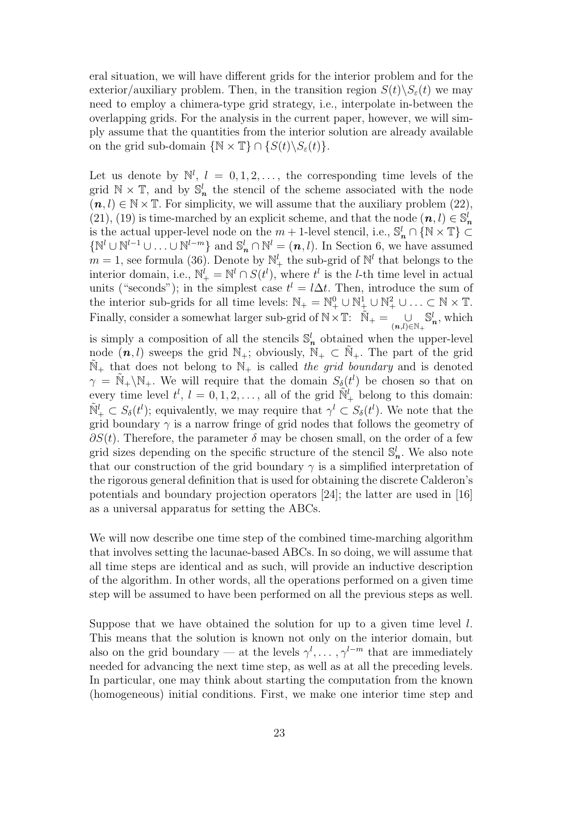eral situation, we will have different grids for the interior problem and for the exterior/auxiliary problem. Then, in the transition region  $S(t)\backslash S_{\varepsilon}(t)$  we may need to employ a chimera-type grid strategy, i.e., interpolate in-between the overlapping grids. For the analysis in the current paper, however, we will simply assume that the quantities from the interior solution are already available on the grid sub-domain  $\{N \times \mathbb{T}\}\cap \{S(t)\backslash S_{\varepsilon}(t)\}.$ 

Let us denote by  $\mathbb{N}^l$ ,  $l = 0, 1, 2, \ldots$ , the corresponding time levels of the grid  $\mathbb{N} \times \mathbb{T}$ , and by  $\mathbb{S}_n^l$  the stencil of the scheme associated with the node  $(n, l) \in \mathbb{N} \times \mathbb{T}$ . For simplicity, we will assume that the auxiliary problem (22), (21), (19) is time-marched by an explicit scheme, and that the node  $(n, l) \in \mathbb{S}_n^l$ is the actual upper-level node on the  $m + 1$ -level stencil, i.e.,  $\mathbb{S}_n^l \cap \{ \mathbb{N} \times \mathbb{T} \}$  $\{N^l \cup N^{l-1} \cup \ldots \cup N^{l-m}\}\$  and  $\mathbb{S}_n^l \cap \mathbb{N}^l = (n, l)$ . In Section 6, we have assumed  $m = 1$ , see formula (36). Denote by  $\mathbb{N}_{+}^{l}$  the sub-grid of  $\mathbb{N}^{l}$  that belongs to the interior domain, i.e.,  $\mathbb{N}_{+}^{l} = \mathbb{N}^{l} \cap S(t^{l}),$  where  $t^{l}$  is the *l*-th time level in actual units ("seconds"); in the simplest case  $t^l = l\Delta t$ . Then, introduce the sum of the interior sub-grids for all time levels:  $\mathbb{N}_+ = \mathbb{N}_+^0 \cup \mathbb{N}_+^1 \cup \mathbb{N}_+^2 \cup \ldots \subset \mathbb{N} \times \mathbb{T}$ . Finally, consider a somewhat larger sub-grid of  $\mathbb{N} \times \mathbb{T}$ :  $\tilde{\mathbb{N}}_+ = \bigcup_{(n,l) \in \mathbb{N}_+}$  $\mathbb{S}_n^l$ , which is simply a composition of all the stencils  $\mathbb{S}_n^l$  obtained when the upper-level node  $(n, l)$  sweeps the grid  $\mathbb{N}_+$ ; obviously,  $\mathbb{N}_+ \subset \mathbb{N}_+$ . The part of the grid  $\mathbb{N}_+$  that does not belong to  $\mathbb{N}_+$  is called the grid boundary and is denoted  $\gamma = \tilde{N}_{+} \backslash N_{+}$ . We will require that the domain  $S_{\delta}(t^{l})$  be chosen so that on every time level  $t^l$ ,  $l = 0, 1, 2, \ldots$ , all of the grid  $\tilde{\mathbb{N}}^l_+$  belong to this domain:  $\tilde{\mathbb{N}}_+^l \subset S_\delta(t^l)$ ; equivalently, we may require that  $\gamma^l \subset S_\delta(t^l)$ . We note that the grid boundary  $\gamma$  is a narrow fringe of grid nodes that follows the geometry of

 $\partial S(t)$ . Therefore, the parameter  $\delta$  may be chosen small, on the order of a few grid sizes depending on the specific structure of the stencil  $\mathbb{S}_n^l$ . We also note that our construction of the grid boundary  $\gamma$  is a simplified interpretation of the rigorous general definition that is used for obtaining the discrete Calderon's potentials and boundary projection operators [24]; the latter are used in [16] as a universal apparatus for setting the ABCs.

We will now describe one time step of the combined time-marching algorithm that involves setting the lacunae-based ABCs. In so doing, we will assume that all time steps are identical and as such, will provide an inductive description of the algorithm. In other words, all the operations performed on a given time step will be assumed to have been performed on all the previous steps as well.

Suppose that we have obtained the solution for up to a given time level  $l$ . This means that the solution is known not only on the interior domain, but also on the grid boundary — at the levels  $\gamma^l, \ldots, \gamma^{l-m}$  that are immediately needed for advancing the next time step, as well as at all the preceding levels. In particular, one may think about starting the computation from the known (homogeneous) initial conditions. First, we make one interior time step and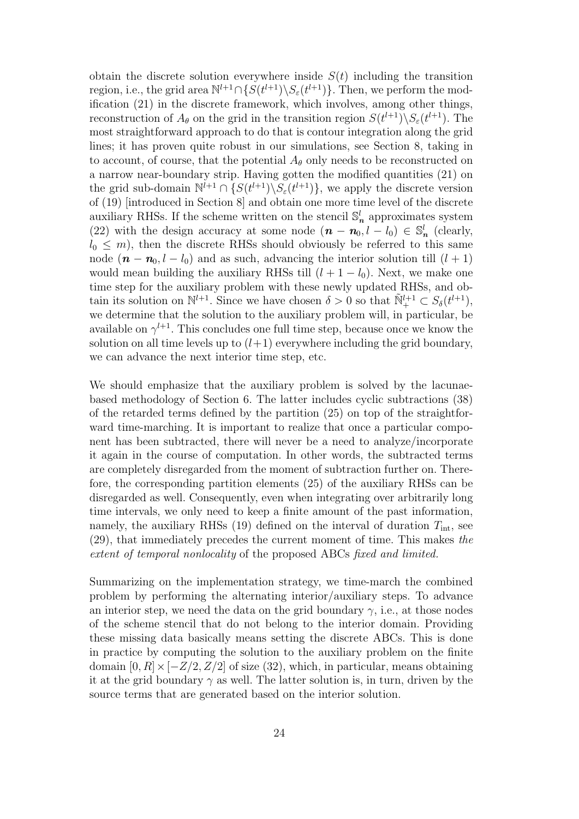obtain the discrete solution everywhere inside  $S(t)$  including the transition region, i.e., the grid area  $\mathbb{N}^{l+1} \cap \{S(t^{l+1}) \setminus S_{\varepsilon}(t^{l+1})\}$ . Then, we perform the modification (21) in the discrete framework, which involves, among other things, reconstruction of  $A_{\theta}$  on the grid in the transition region  $S(t^{l+1})\backslash S_{\varepsilon}(t^{l+1})$ . The most straightforward approach to do that is contour integration along the grid lines; it has proven quite robust in our simulations, see Section 8, taking in to account, of course, that the potential  $A_{\theta}$  only needs to be reconstructed on a narrow near-boundary strip. Having gotten the modified quantities (21) on the grid sub-domain  $\mathbb{N}^{l+1} \cap \{S(t^{l+1}) \setminus S_{\varepsilon}(t^{l+1})\}$ , we apply the discrete version of (19) [introduced in Section 8] and obtain one more time level of the discrete auxiliary RHSs. If the scheme written on the stencil  $\mathbb{S}_n^l$  approximates system (22) with the design accuracy at some node  $(n - n_0, l - l_0) \in \mathbb{S}_n^l$  (clearly,  $l_0 \leq m$ , then the discrete RHSs should obviously be referred to this same node  $(n - n_0, l - l_0)$  and as such, advancing the interior solution till  $(l + 1)$ would mean building the auxiliary RHSs till  $(l + 1 - l_0)$ . Next, we make one time step for the auxiliary problem with these newly updated RHSs, and obtain its solution on  $\mathbb{N}^{l+1}$ . Since we have chosen  $\delta > 0$  so that  $\tilde{\mathbb{N}}_{+}^{l+1} \subset S_{\delta}(t^{l+1}),$ we determine that the solution to the auxiliary problem will, in particular, be available on  $\gamma^{l+1}$ . This concludes one full time step, because once we know the solution on all time levels up to  $(l+1)$  everywhere including the grid boundary, we can advance the next interior time step, etc.

We should emphasize that the auxiliary problem is solved by the lacunaebased methodology of Section 6. The latter includes cyclic subtractions (38) of the retarded terms defined by the partition (25) on top of the straightforward time-marching. It is important to realize that once a particular component has been subtracted, there will never be a need to analyze/incorporate it again in the course of computation. In other words, the subtracted terms are completely disregarded from the moment of subtraction further on. Therefore, the corresponding partition elements (25) of the auxiliary RHSs can be disregarded as well. Consequently, even when integrating over arbitrarily long time intervals, we only need to keep a finite amount of the past information, namely, the auxiliary RHSs (19) defined on the interval of duration  $T_{\text{int}}$ , see (29), that immediately precedes the current moment of time. This makes the extent of temporal nonlocality of the proposed ABCs fixed and limited.

Summarizing on the implementation strategy, we time-march the combined problem by performing the alternating interior/auxiliary steps. To advance an interior step, we need the data on the grid boundary  $\gamma$ , i.e., at those nodes of the scheme stencil that do not belong to the interior domain. Providing these missing data basically means setting the discrete ABCs. This is done in practice by computing the solution to the auxiliary problem on the finite domain  $[0, R] \times [-Z/2, Z/2]$  of size (32), which, in particular, means obtaining it at the grid boundary  $\gamma$  as well. The latter solution is, in turn, driven by the source terms that are generated based on the interior solution.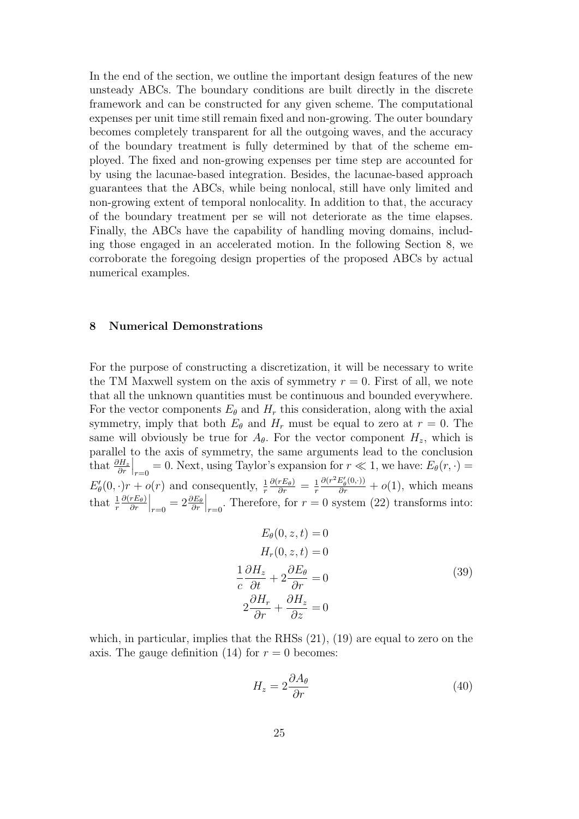In the end of the section, we outline the important design features of the new unsteady ABCs. The boundary conditions are built directly in the discrete framework and can be constructed for any given scheme. The computational expenses per unit time still remain fixed and non-growing. The outer boundary becomes completely transparent for all the outgoing waves, and the accuracy of the boundary treatment is fully determined by that of the scheme employed. The fixed and non-growing expenses per time step are accounted for by using the lacunae-based integration. Besides, the lacunae-based approach guarantees that the ABCs, while being nonlocal, still have only limited and non-growing extent of temporal nonlocality. In addition to that, the accuracy of the boundary treatment per se will not deteriorate as the time elapses. Finally, the ABCs have the capability of handling moving domains, including those engaged in an accelerated motion. In the following Section 8, we corroborate the foregoing design properties of the proposed ABCs by actual numerical examples.

#### 8 Numerical Demonstrations

For the purpose of constructing a discretization, it will be necessary to write the TM Maxwell system on the axis of symmetry  $r = 0$ . First of all, we note that all the unknown quantities must be continuous and bounded everywhere. For the vector components  $E_{\theta}$  and  $H_r$  this consideration, along with the axial symmetry, imply that both  $E_{\theta}$  and  $H_r$  must be equal to zero at  $r = 0$ . The same will obviously be true for  $A_{\theta}$ . For the vector component  $H_z$ , which is parallel to the axis of symmetry, the same arguments lead to the conclusion that  $\frac{\partial H_z}{\partial r}$  $\Big|_{r=0} = 0$ . Next, using Taylor's expansion for  $r \ll 1$ , we have:  $E_{\theta}(r, \cdot) =$  $E'_\epsilon$  $\theta_{\theta}(0,\cdot)r + o(r)$  and consequently,  $\frac{1}{r}$  $\frac{\partial (r E_\theta)}{\partial r} = \frac{1}{r}$ r  $\frac{\partial (r^2 E'_{\theta}(0,\cdot))}{\partial r} + o(1)$ , which means that  $\frac{1}{r}$  $\partial(r E_\theta)$ ∂r  $\Big|_{r=0} = 2 \frac{\partial E_{\theta}}{\partial r}$  $\Big|_{r=0}$ . Therefore, for  $r = 0$  system (22) transforms into:

$$
E_{\theta}(0, z, t) = 0
$$
  
\n
$$
H_{r}(0, z, t) = 0
$$
  
\n
$$
\frac{1}{c} \frac{\partial H_{z}}{\partial t} + 2 \frac{\partial E_{\theta}}{\partial r} = 0
$$
  
\n
$$
2 \frac{\partial H_{r}}{\partial r} + \frac{\partial H_{z}}{\partial z} = 0
$$
\n(39)

which, in particular, implies that the RHSs  $(21)$ ,  $(19)$  are equal to zero on the axis. The gauge definition (14) for  $r = 0$  becomes:

$$
H_z = 2\frac{\partial A_\theta}{\partial r} \tag{40}
$$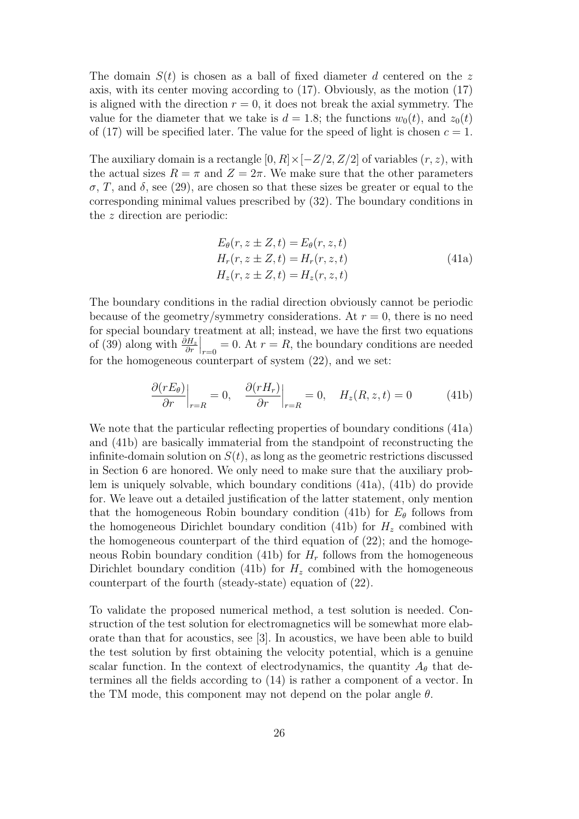The domain  $S(t)$  is chosen as a ball of fixed diameter d centered on the z axis, with its center moving according to (17). Obviously, as the motion (17) is aligned with the direction  $r = 0$ , it does not break the axial symmetry. The value for the diameter that we take is  $d = 1.8$ ; the functions  $w_0(t)$ , and  $z_0(t)$ of (17) will be specified later. The value for the speed of light is chosen  $c = 1$ .

The auxiliary domain is a rectangle  $[0, R] \times [-Z/2, Z/2]$  of variables  $(r, z)$ , with the actual sizes  $R = \pi$  and  $Z = 2\pi$ . We make sure that the other parameters  $\sigma$ , T, and  $\delta$ , see (29), are chosen so that these sizes be greater or equal to the corresponding minimal values prescribed by (32). The boundary conditions in the z direction are periodic:

$$
E_{\theta}(r, z \pm Z, t) = E_{\theta}(r, z, t)
$$
  
\n
$$
H_r(r, z \pm Z, t) = H_r(r, z, t)
$$
  
\n
$$
H_z(r, z \pm Z, t) = H_z(r, z, t)
$$
\n(41a)

The boundary conditions in the radial direction obviously cannot be periodic because of the geometry/symmetry considerations. At  $r = 0$ , there is no need for special boundary treatment at all; instead, we have the first two equations of (39) along with  $\frac{\partial H_z}{\partial r}$  $r=0$ . At  $r=R$ , the boundary conditions are needed for the homogeneous counterpart of system  $(22)$ , and we set:

$$
\frac{\partial(rE_{\theta})}{\partial r}\Big|_{r=R} = 0, \quad \frac{\partial(rH_r)}{\partial r}\Big|_{r=R} = 0, \quad H_z(R, z, t) = 0 \tag{41b}
$$

We note that the particular reflecting properties of boundary conditions (41a) and (41b) are basically immaterial from the standpoint of reconstructing the infinite-domain solution on  $S(t)$ , as long as the geometric restrictions discussed in Section 6 are honored. We only need to make sure that the auxiliary problem is uniquely solvable, which boundary conditions (41a), (41b) do provide for. We leave out a detailed justification of the latter statement, only mention that the homogeneous Robin boundary condition (41b) for  $E_{\theta}$  follows from the homogeneous Dirichlet boundary condition (41b) for  $H<sub>z</sub>$  combined with the homogeneous counterpart of the third equation of  $(22)$ ; and the homogeneous Robin boundary condition (41b) for  $H_r$  follows from the homogeneous Dirichlet boundary condition (41b) for  $H<sub>z</sub>$  combined with the homogeneous counterpart of the fourth (steady-state) equation of (22).

To validate the proposed numerical method, a test solution is needed. Construction of the test solution for electromagnetics will be somewhat more elaborate than that for acoustics, see [3]. In acoustics, we have been able to build the test solution by first obtaining the velocity potential, which is a genuine scalar function. In the context of electrodynamics, the quantity  $A_{\theta}$  that determines all the fields according to (14) is rather a component of a vector. In the TM mode, this component may not depend on the polar angle  $\theta$ .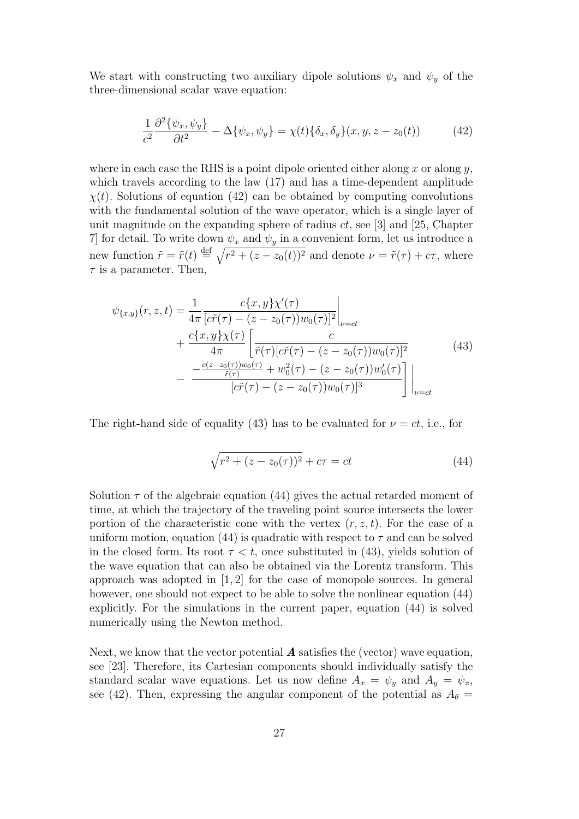We start with constructing two auxiliary dipole solutions  $\psi_x$  and  $\psi_y$  of the three-dimensional scalar wave equation:

$$
\frac{1}{c^2} \frac{\partial^2 \{\psi_x, \psi_y\}}{\partial t^2} - \Delta \{\psi_x, \psi_y\} = \chi(t) \{\delta_x, \delta_y\}(x, y, z - z_0(t)) \tag{42}
$$

where in each case the RHS is a point dipole oriented either along x or along  $y$ , which travels according to the law  $(17)$  and has a time-dependent amplitude  $\chi(t)$ . Solutions of equation (42) can be obtained by computing convolutions with the fundamental solution of the wave operator, which is a single layer of unit magnitude on the expanding sphere of radius  $ct$ , see [3] and [25, Chapter 7] for detail. To write down  $\psi_x$  and  $\psi_y$  in a convenient form, let us introduce a new function  $\tilde{r} = \tilde{r}(t) \stackrel{\text{def}}{=} \sqrt{r^2 + (z - z_0(t))^2}$  and denote  $\nu = \tilde{r}(\tau) + c\tau$ , where  $\tau$  is a parameter. Then,

$$
\psi_{\{x,y\}}(r,z,t) = \frac{1}{4\pi} \frac{c\{x,y\}\chi'(\tau)}{[c\tilde{r}(\tau) - (z - z_0(\tau))w_0(\tau)]^2}\Big|_{\nu = ct} + \frac{c\{x,y\}\chi(\tau)}{4\pi} \left[\frac{c}{\tilde{r}(\tau)[c\tilde{r}(\tau) - (z - z_0(\tau))w_0(\tau)]^2} - \frac{-\frac{c(z - z_0(\tau))w_0(\tau)}{\tilde{r}(\tau)} + w_0^2(\tau) - (z - z_0(\tau))w_0'(\tau)}{[c\tilde{r}(\tau) - (z - z_0(\tau))w_0(\tau)]^3}\right]\Big|_{\nu = ct}
$$
\n(43)

The right-hand side of equality (43) has to be evaluated for  $\nu = ct$ , i.e., for

$$
\sqrt{r^2 + (z - z_0(\tau))^2} + c\tau = ct \tag{44}
$$

Solution  $\tau$  of the algebraic equation (44) gives the actual retarded moment of time, at which the trajectory of the traveling point source intersects the lower portion of the characteristic cone with the vertex  $(r, z, t)$ . For the case of a uniform motion, equation (44) is quadratic with respect to  $\tau$  and can be solved in the closed form. Its root  $\tau < t$ , once substituted in (43), yields solution of the wave equation that can also be obtained via the Lorentz transform. This approach was adopted in [1, 2] for the case of monopole sources. In general however, one should not expect to be able to solve the nonlinear equation (44) explicitly. For the simulations in the current paper, equation (44) is solved numerically using the Newton method.

Next, we know that the vector potential  $\boldsymbol{A}$  satisfies the (vector) wave equation, see [23]. Therefore, its Cartesian components should individually satisfy the standard scalar wave equations. Let us now define  $A_x = \psi_y$  and  $A_y = \psi_x$ , see (42). Then, expressing the angular component of the potential as  $A_{\theta} =$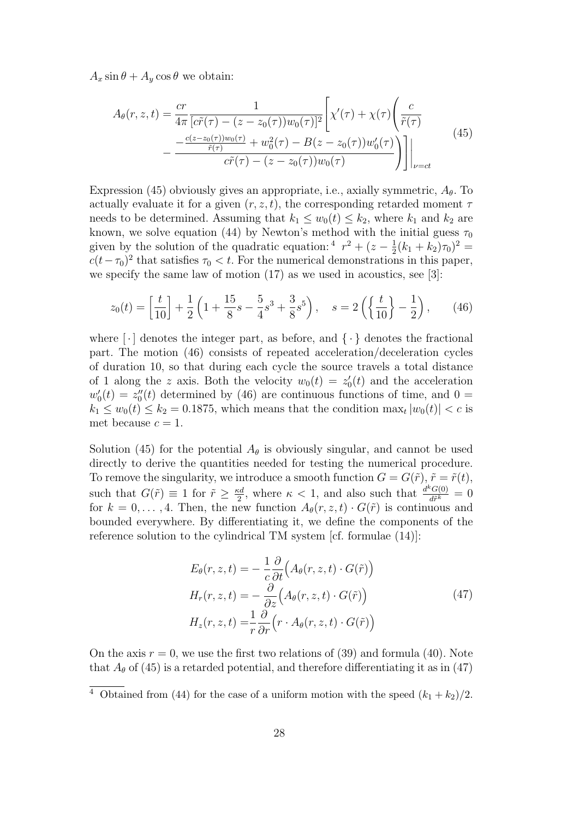$A_x \sin \theta + A_y \cos \theta$  we obtain:

$$
A_{\theta}(r, z, t) = \frac{cr}{4\pi} \frac{1}{[c\tilde{r}(\tau) - (z - z_0(\tau))w_0(\tau)]^2} \left[ \chi'(\tau) + \chi(\tau) \left( \frac{c}{\tilde{r}(\tau)} - \frac{c(z - z_0(\tau))w_0(\tau)}{\tilde{r}(\tau)} + w_0^2(\tau) - B(z - z_0(\tau))w_0'(\tau) \right) \right] \Big|_{\nu = ct}
$$
\n
$$
(45)
$$

Expression (45) obviously gives an appropriate, i.e., axially symmetric,  $A_{\theta}$ . To actually evaluate it for a given  $(r, z, t)$ , the corresponding retarded moment  $\tau$ needs to be determined. Assuming that  $k_1 \leq w_0(t) \leq k_2$ , where  $k_1$  and  $k_2$  are known, we solve equation (44) by Newton's method with the initial guess  $\tau_0$ given by the solution of the quadratic equation:  $4r^2 + (z - \frac{1}{2})$  $\frac{1}{2}(k_1+k_2)\tau_0)^2=$  $c(t-\tau_0)^2$  that satisfies  $\tau_0 < t$ . For the numerical demonstrations in this paper, we specify the same law of motion (17) as we used in acoustics, see [3]:

$$
z_0(t) = \left[\frac{t}{10}\right] + \frac{1}{2}\left(1 + \frac{15}{8}s - \frac{5}{4}s^3 + \frac{3}{8}s^5\right), \quad s = 2\left(\left\{\frac{t}{10}\right\} - \frac{1}{2}\right),\tag{46}
$$

where  $\lceil \cdot \rceil$  denotes the integer part, as before, and  $\lceil \cdot \rceil$  denotes the fractional part. The motion (46) consists of repeated acceleration/deceleration cycles of duration 10, so that during each cycle the source travels a total distance of 1 along the z axis. Both the velocity  $w_0(t) = z_0$  $v_0(t)$  and the acceleration  $w'_{0}$  $z''_0(t) = z''_0$  $_{0}^{"}(t)$  determined by (46) are continuous functions of time, and 0 =  $k_1 \leq w_0(t) \leq k_2 = 0.1875$ , which means that the condition  $\max_t |w_0(t)| < c$  is met because  $c = 1$ .

Solution (45) for the potential  $A_{\theta}$  is obviously singular, and cannot be used directly to derive the quantities needed for testing the numerical procedure. To remove the singularity, we introduce a smooth function  $G = G(\tilde{r}), \tilde{r} = \tilde{r}(t)$ , such that  $G(\tilde{r}) \equiv 1$  for  $\tilde{r} \geq \frac{\kappa d}{2}$  $\frac{sd}{2}$ , where  $\kappa$  < 1, and also such that  $\frac{d^kG(0)}{d\tilde{r}^k}$  $\frac{\partial G(0)}{\partial \tilde{r}^k} = 0$ for  $k = 0, \ldots, 4$ . Then, the new function  $A_{\theta}(r, z, t) \cdot G(\tilde{r})$  is continuous and bounded everywhere. By differentiating it, we define the components of the reference solution to the cylindrical TM system [cf. formulae (14)]:

$$
E_{\theta}(r, z, t) = -\frac{1}{c} \frac{\partial}{\partial t} \Big( A_{\theta}(r, z, t) \cdot G(\tilde{r}) \Big)
$$
  
\n
$$
H_{r}(r, z, t) = -\frac{\partial}{\partial z} \Big( A_{\theta}(r, z, t) \cdot G(\tilde{r}) \Big)
$$
  
\n
$$
H_{z}(r, z, t) = \frac{1}{r} \frac{\partial}{\partial r} \Big( r \cdot A_{\theta}(r, z, t) \cdot G(\tilde{r}) \Big)
$$
\n(47)

On the axis  $r = 0$ , we use the first two relations of (39) and formula (40). Note that  $A_{\theta}$  of (45) is a retarded potential, and therefore differentiating it as in (47)

<sup>&</sup>lt;sup>4</sup> Obtained from (44) for the case of a uniform motion with the speed  $(k_1 + k_2)/2$ .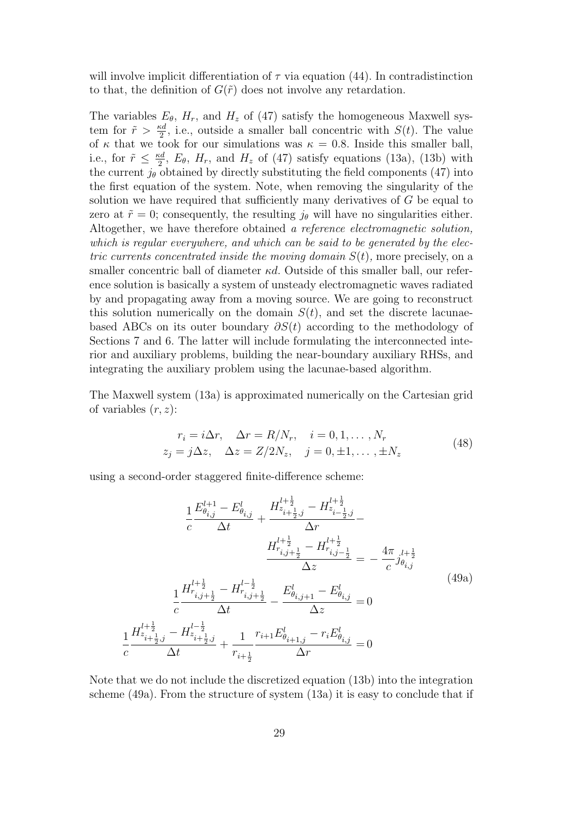will involve implicit differentiation of  $\tau$  via equation (44). In contradistinction to that, the definition of  $G(\tilde{r})$  does not involve any retardation.

The variables  $E_{\theta}$ ,  $H_r$ , and  $H_z$  of (47) satisfy the homogeneous Maxwell system for  $\tilde{r} > \frac{\kappa d}{2}$ , i.e., outside a smaller ball concentric with  $S(t)$ . The value of  $\kappa$  that we took for our simulations was  $\kappa = 0.8$ . Inside this smaller ball, i.e., for  $\tilde{r} \leq \frac{\kappa d}{2}$  $\frac{ad}{2}$ ,  $E_{\theta}$ ,  $H_{r}$ , and  $H_{z}$  of (47) satisfy equations (13a), (13b) with the current  $j_{\theta}$  obtained by directly substituting the field components (47) into the first equation of the system. Note, when removing the singularity of the solution we have required that sufficiently many derivatives of  $G$  be equal to zero at  $\tilde{r} = 0$ ; consequently, the resulting  $j_{\theta}$  will have no singularities either. Altogether, we have therefore obtained a reference electromagnetic solution, which is regular everywhere, and which can be said to be generated by the electric currents concentrated inside the moving domain  $S(t)$ , more precisely, on a smaller concentric ball of diameter  $\kappa d$ . Outside of this smaller ball, our reference solution is basically a system of unsteady electromagnetic waves radiated by and propagating away from a moving source. We are going to reconstruct this solution numerically on the domain  $S(t)$ , and set the discrete lacunaebased ABCs on its outer boundary  $\partial S(t)$  according to the methodology of Sections 7 and 6. The latter will include formulating the interconnected interior and auxiliary problems, building the near-boundary auxiliary RHSs, and integrating the auxiliary problem using the lacunae-based algorithm.

The Maxwell system (13a) is approximated numerically on the Cartesian grid of variables  $(r, z)$ :

$$
r_i = i\Delta r, \quad \Delta r = R/N_r, \quad i = 0, 1, \dots, N_r
$$
  

$$
z_j = j\Delta z, \quad \Delta z = Z/2N_z, \quad j = 0, \pm 1, \dots, \pm N_z
$$
 (48)

using a second-order staggered finite-difference scheme:

$$
\frac{1}{c} \frac{E_{\theta_{i,j}}^{l+1} - E_{\theta_{i,j}}^{l}}{\Delta t} + \frac{H_{z_{i+\frac{1}{2},j}}^{l+\frac{1}{2}} - H_{z_{i-\frac{1}{2},j}}^{l+\frac{1}{2}}}{\Delta r} - \frac{H_{r_{i,j+\frac{1}{2}}}^{l+\frac{1}{2}} - H_{r_{i,j-\frac{1}{2}}}^{l+\frac{1}{2}}}{\Delta z} = -\frac{4\pi}{c} \jmath_{\theta_{i,j}}^{l+\frac{1}{2}}
$$
\n
$$
\frac{1}{c} \frac{H_{r_{i,j+\frac{1}{2}}}^{l+\frac{1}{2}} - H_{r_{i,j+\frac{1}{2}}}^{l-\frac{1}{2}}}{\Delta t} - \frac{E_{\theta_{i,j+1}}^{l}}{\Delta z} - E_{\theta_{i,j}}^{l}} = 0
$$
\n
$$
\frac{1}{c} \frac{H_{z_{i+\frac{1}{2},j}}^{l+\frac{1}{2}} - H_{z_{i+\frac{1}{2},j}}^{l-\frac{1}{2}}}{\Delta t} + \frac{1}{r_{i+\frac{1}{2}}} \frac{r_{i+1}E_{\theta_{i+1,j}}^{l}}{\Delta r} - r_{i}E_{\theta_{i,j}}^{l}} = 0
$$
\n(49a)

Note that we do not include the discretized equation (13b) into the integration scheme (49a). From the structure of system (13a) it is easy to conclude that if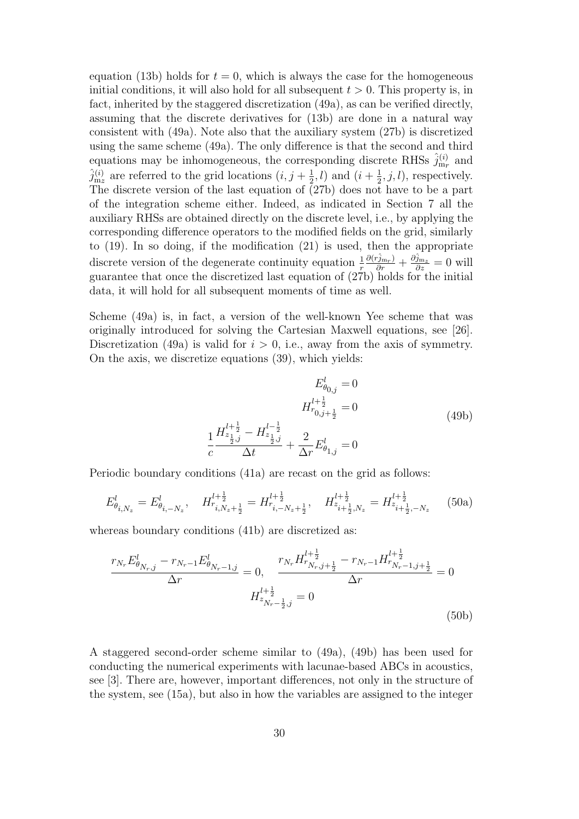equation (13b) holds for  $t = 0$ , which is always the case for the homogeneous initial conditions, it will also hold for all subsequent  $t > 0$ . This property is, in fact, inherited by the staggered discretization (49a), as can be verified directly, assuming that the discrete derivatives for (13b) are done in a natural way consistent with (49a). Note also that the auxiliary system (27b) is discretized using the same scheme (49a). The only difference is that the second and third equations may be inhomogeneous, the corresponding discrete RHSs  $\hat{j}^{(i)}_{\text{m}r}$  and  $\hat{j}^{(i)}_{m_z}$  are referred to the grid locations  $(i, j + \frac{1}{2})$  $(\frac{1}{2}, l)$  and  $(i + \frac{1}{2})$  $(\frac{1}{2}, j, l)$ , respectively. The discrete version of the last equation of (27b) does not have to be a part of the integration scheme either. Indeed, as indicated in Section 7 all the auxiliary RHSs are obtained directly on the discrete level, i.e., by applying the corresponding difference operators to the modified fields on the grid, similarly to (19). In so doing, if the modification (21) is used, then the appropriate discrete version of the degenerate continuity equation  $\frac{1}{r}$  $\frac{\partial(\hat{r}_{j_{\mathrm{m}_r}})}{\partial r} + \frac{\partial \hat{j}_{\mathrm{m}_z}}{\partial z} = 0$  will guarantee that once the discretized last equation of (27b) holds for the initial data, it will hold for all subsequent moments of time as well.

Scheme (49a) is, in fact, a version of the well-known Yee scheme that was originally introduced for solving the Cartesian Maxwell equations, see [26]. Discretization (49a) is valid for  $i > 0$ , i.e., away from the axis of symmetry. On the axis, we discretize equations (39), which yields:

$$
E_{\theta_{0,j}}^{l} = 0
$$
  
\n
$$
H_{\tau_{0,j+\frac{1}{2}}}^{l+\frac{1}{2}} = 0
$$
  
\n
$$
\frac{1}{c} \frac{H_{z_{\frac{1}{2},j}}^{l+\frac{1}{2}} - H_{z_{\frac{1}{2},j}}^{l-\frac{1}{2}}}{\Delta t} + \frac{2}{\Delta r} E_{\theta_{1,j}}^{l} = 0
$$
\n(49b)

Periodic boundary conditions (41a) are recast on the grid as follows:

$$
E_{\theta_{i,N_z}}^l = E_{\theta_{i,-N_z}}^l, \quad H_{r_{i,N_z+\frac{1}{2}}}^{l+\frac{1}{2}} = H_{r_{i,-N_z+\frac{1}{2}}}^{l+\frac{1}{2}}, \quad H_{z_{i+\frac{1}{2},N_z}}^{l+\frac{1}{2}} = H_{z_{i+\frac{1}{2},-N_z}}^{l+\frac{1}{2}} \tag{50a}
$$

whereas boundary conditions (41b) are discretized as:

$$
\frac{r_{N_r} E^l_{\theta_{N_r,j}} - r_{N_r-1} E^l_{\theta_{N_r-1,j}}}{\Delta r} = 0, \quad \frac{r_{N_r} H^{l+\frac{1}{2}}_{r_{N_r,j+\frac{1}{2}}} - r_{N_r-1} H^{l+\frac{1}{2}}_{r_{N_r-1,j+\frac{1}{2}}} }{\Delta r} = 0
$$
\n
$$
H^{l+\frac{1}{2}}_{z_{N_r-\frac{1}{2},j}} = 0
$$
\n(50b)

A staggered second-order scheme similar to (49a), (49b) has been used for conducting the numerical experiments with lacunae-based ABCs in acoustics, see [3]. There are, however, important differences, not only in the structure of the system, see (15a), but also in how the variables are assigned to the integer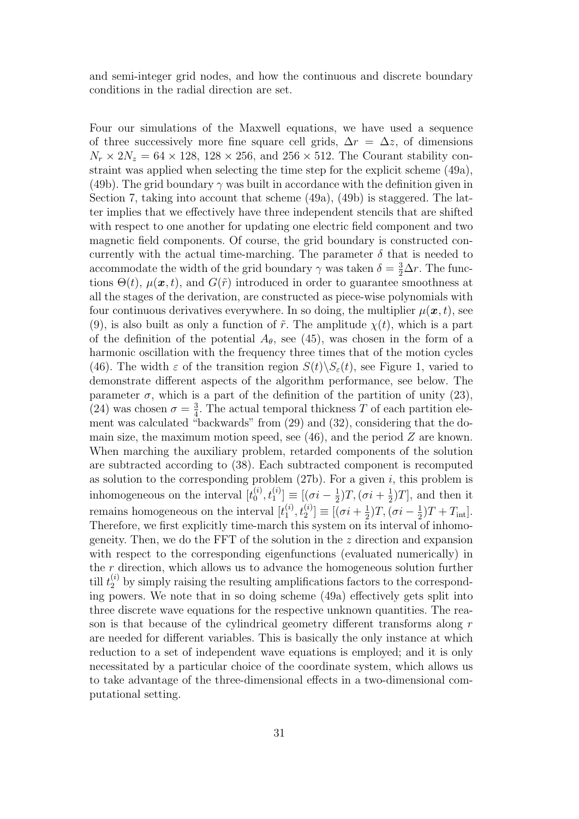and semi-integer grid nodes, and how the continuous and discrete boundary conditions in the radial direction are set.

Four our simulations of the Maxwell equations, we have used a sequence of three successively more fine square cell grids,  $\Delta r = \Delta z$ , of dimensions  $N_r \times 2N_z = 64 \times 128$ , 128 × 256, and 256 × 512. The Courant stability constraint was applied when selecting the time step for the explicit scheme (49a), (49b). The grid boundary  $\gamma$  was built in accordance with the definition given in Section 7, taking into account that scheme (49a), (49b) is staggered. The latter implies that we effectively have three independent stencils that are shifted with respect to one another for updating one electric field component and two magnetic field components. Of course, the grid boundary is constructed concurrently with the actual time-marching. The parameter  $\delta$  that is needed to accommodate the width of the grid boundary  $\gamma$  was taken  $\delta = \frac{3}{2}\Delta r$ . The functions  $\Theta(t)$ ,  $\mu(\mathbf{x}, t)$ , and  $G(\tilde{r})$  introduced in order to guarantee smoothness at all the stages of the derivation, are constructed as piece-wise polynomials with four continuous derivatives everywhere. In so doing, the multiplier  $\mu(\boldsymbol{x}, t)$ , see (9), is also built as only a function of  $\tilde{r}$ . The amplitude  $\chi(t)$ , which is a part of the definition of the potential  $A_{\theta}$ , see (45), was chosen in the form of a harmonic oscillation with the frequency three times that of the motion cycles (46). The width  $\varepsilon$  of the transition region  $S(t)\backslash S_{\varepsilon}(t)$ , see Figure 1, varied to demonstrate different aspects of the algorithm performance, see below. The parameter  $\sigma$ , which is a part of the definition of the partition of unity (23), (24) was chosen  $\sigma = \frac{3}{4}$  $\frac{3}{4}$ . The actual temporal thickness T of each partition element was calculated "backwards" from (29) and (32), considering that the domain size, the maximum motion speed, see  $(46)$ , and the period Z are known. When marching the auxiliary problem, retarded components of the solution are subtracted according to (38). Each subtracted component is recomputed as solution to the corresponding problem  $(27b)$ . For a given i, this problem is inhomogeneous on the interval  $[t_0^{(i)}]$  $\binom{(i)}{0},t_1^{(i)}\equiv[(\sigma i-\frac{1}{2}% ,\sigma 1)\cdot\sigma (i+2\sigma )]^{2}$  $(\frac{1}{2})T,(\sigma i + \frac{1}{2})$  $(\frac{1}{2})T$ , and then it remains homogeneous on the interval  $[t_1^{(i)}]$  $\binom{(i)}{1},\binom{(i)}{2}\equiv[(\sigma i+\frac{1}{2}% )^{2},\left( \sigma \right) \in\binom{(i)}{2}$  $(\frac{1}{2})T,(\sigma i - \frac{1}{2})$  $(\frac{1}{2})T + T_{\rm int}$ . Therefore, we first explicitly time-march this system on its interval of inhomogeneity. Then, we do the  $\text{FFT}$  of the solution in the z direction and expansion with respect to the corresponding eigenfunctions (evaluated numerically) in the  $r$  direction, which allows us to advance the homogeneous solution further till  $t_2^{(i)}$  by simply raising the resulting amplifications factors to the corresponding powers. We note that in so doing scheme (49a) effectively gets split into three discrete wave equations for the respective unknown quantities. The reason is that because of the cylindrical geometry different transforms along r are needed for different variables. This is basically the only instance at which reduction to a set of independent wave equations is employed; and it is only necessitated by a particular choice of the coordinate system, which allows us to take advantage of the three-dimensional effects in a two-dimensional computational setting.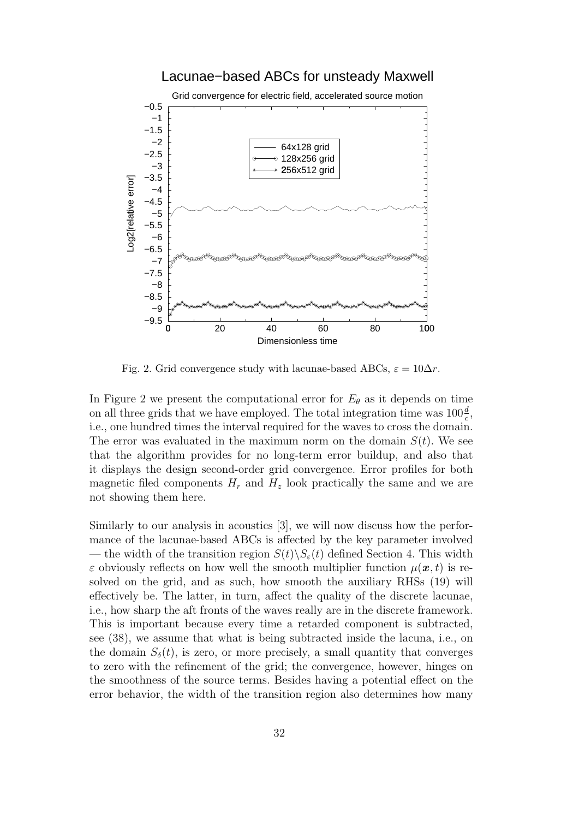### Lacunae−based ABCs for unsteady Maxwell



Fig. 2. Grid convergence study with lacunae-based ABCs,  $\varepsilon = 10\Delta r$ .

In Figure 2 we present the computational error for  $E_{\theta}$  as it depends on time on all three grids that we have employed. The total integration time was  $100\frac{d}{c}$ , i.e., one hundred times the interval required for the waves to cross the domain. The error was evaluated in the maximum norm on the domain  $S(t)$ . We see that the algorithm provides for no long-term error buildup, and also that it displays the design second-order grid convergence. Error profiles for both magnetic filed components  $H_r$  and  $H_z$  look practically the same and we are not showing them here.

Similarly to our analysis in acoustics [3], we will now discuss how the performance of the lacunae-based ABCs is affected by the key parameter involved — the width of the transition region  $S(t)\backslash S_{\varepsilon}(t)$  defined Section 4. This width  $\varepsilon$  obviously reflects on how well the smooth multiplier function  $\mu(\boldsymbol{x}, t)$  is resolved on the grid, and as such, how smooth the auxiliary RHSs (19) will effectively be. The latter, in turn, affect the quality of the discrete lacunae, i.e., how sharp the aft fronts of the waves really are in the discrete framework. This is important because every time a retarded component is subtracted, see (38), we assume that what is being subtracted inside the lacuna, i.e., on the domain  $S_{\delta}(t)$ , is zero, or more precisely, a small quantity that converges to zero with the refinement of the grid; the convergence, however, hinges on the smoothness of the source terms. Besides having a potential effect on the error behavior, the width of the transition region also determines how many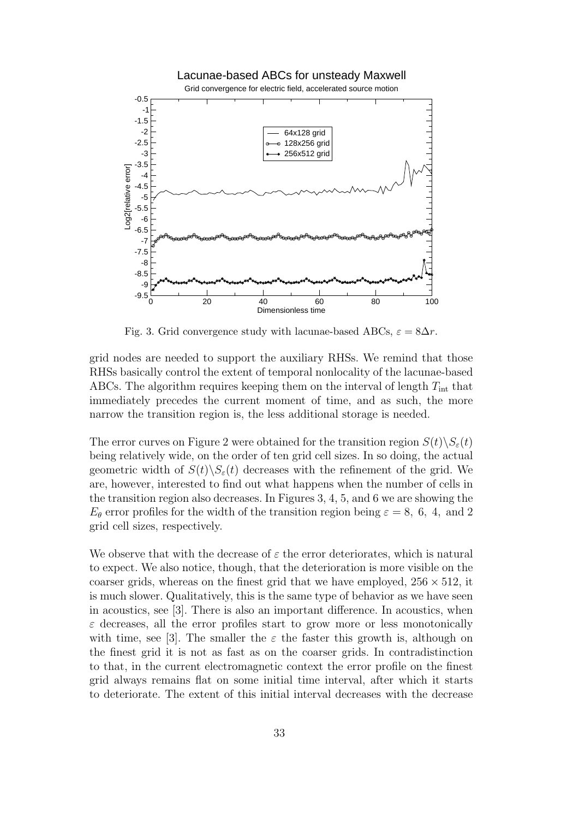

Fig. 3. Grid convergence study with lacunae-based ABCs,  $\varepsilon = 8\Delta r$ .

grid nodes are needed to support the auxiliary RHSs. We remind that those RHSs basically control the extent of temporal nonlocality of the lacunae-based ABCs. The algorithm requires keeping them on the interval of length  $T_{\text{int}}$  that immediately precedes the current moment of time, and as such, the more narrow the transition region is, the less additional storage is needed.

The error curves on Figure 2 were obtained for the transition region  $S(t)\S_{\varepsilon}(t)$ being relatively wide, on the order of ten grid cell sizes. In so doing, the actual geometric width of  $S(t)\backslash S_{\varepsilon}(t)$  decreases with the refinement of the grid. We are, however, interested to find out what happens when the number of cells in the transition region also decreases. In Figures 3, 4, 5, and 6 we are showing the  $E_{\theta}$  error profiles for the width of the transition region being  $\varepsilon = 8, 6, 4, \text{ and } 2$ grid cell sizes, respectively.

We observe that with the decrease of  $\varepsilon$  the error deteriorates, which is natural to expect. We also notice, though, that the deterioration is more visible on the coarser grids, whereas on the finest grid that we have employed,  $256 \times 512$ , it is much slower. Qualitatively, this is the same type of behavior as we have seen in acoustics, see [3]. There is also an important difference. In acoustics, when  $\varepsilon$  decreases, all the error profiles start to grow more or less monotonically with time, see [3]. The smaller the  $\varepsilon$  the faster this growth is, although on the finest grid it is not as fast as on the coarser grids. In contradistinction to that, in the current electromagnetic context the error profile on the finest grid always remains flat on some initial time interval, after which it starts to deteriorate. The extent of this initial interval decreases with the decrease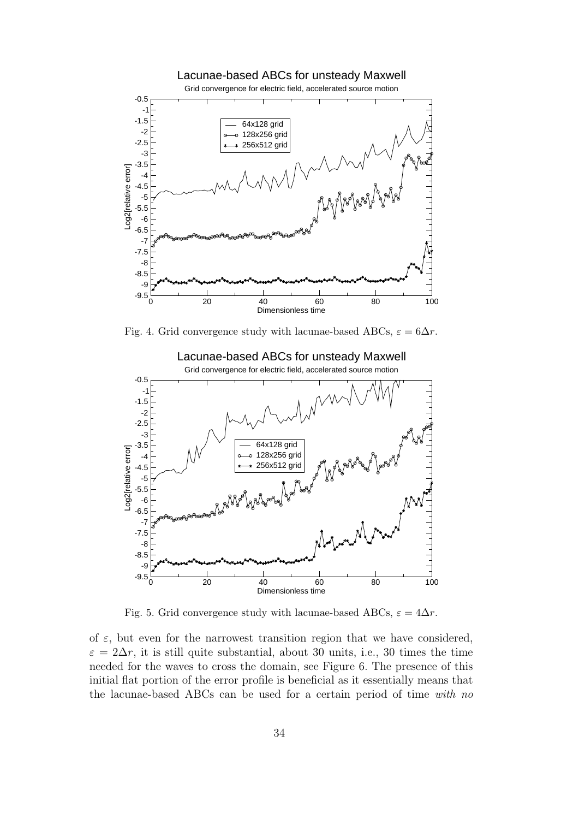

Fig. 4. Grid convergence study with lacunae-based ABCs,  $\varepsilon = 6\Delta r$ .



Fig. 5. Grid convergence study with lacunae-based ABCs,  $\varepsilon = 4\Delta r$ .

of  $\varepsilon$ , but even for the narrowest transition region that we have considered,  $\varepsilon = 2\Delta r$ , it is still quite substantial, about 30 units, i.e., 30 times the time needed for the waves to cross the domain, see Figure 6. The presence of this initial flat portion of the error profile is beneficial as it essentially means that the lacunae-based ABCs can be used for a certain period of time with no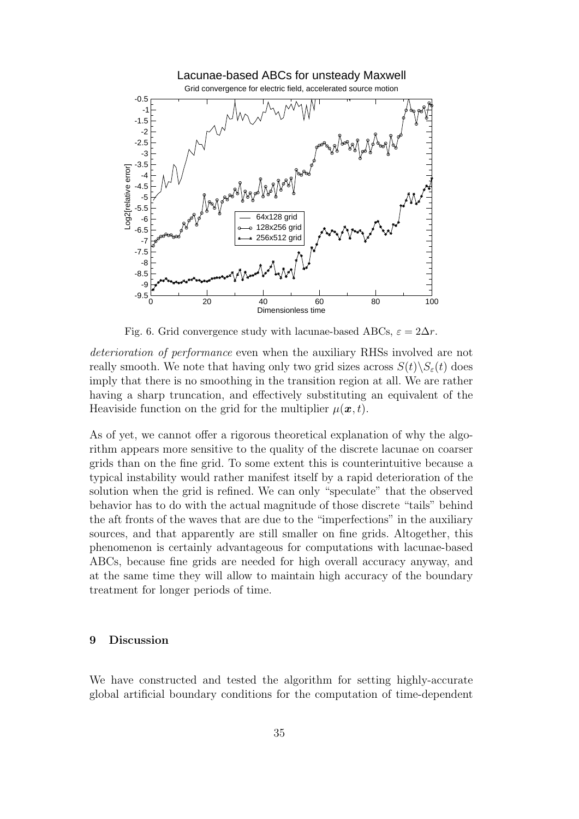

Fig. 6. Grid convergence study with lacunae-based ABCs,  $\varepsilon = 2\Delta r$ .

deterioration of performance even when the auxiliary RHSs involved are not really smooth. We note that having only two grid sizes across  $S(t)\backslash S_{\varepsilon}(t)$  does imply that there is no smoothing in the transition region at all. We are rather having a sharp truncation, and effectively substituting an equivalent of the Heaviside function on the grid for the multiplier  $\mu(\boldsymbol{x}, t)$ .

As of yet, we cannot offer a rigorous theoretical explanation of why the algorithm appears more sensitive to the quality of the discrete lacunae on coarser grids than on the fine grid. To some extent this is counterintuitive because a typical instability would rather manifest itself by a rapid deterioration of the solution when the grid is refined. We can only "speculate" that the observed behavior has to do with the actual magnitude of those discrete "tails" behind the aft fronts of the waves that are due to the "imperfections" in the auxiliary sources, and that apparently are still smaller on fine grids. Altogether, this phenomenon is certainly advantageous for computations with lacunae-based ABCs, because fine grids are needed for high overall accuracy anyway, and at the same time they will allow to maintain high accuracy of the boundary treatment for longer periods of time.

#### 9 Discussion

We have constructed and tested the algorithm for setting highly-accurate global artificial boundary conditions for the computation of time-dependent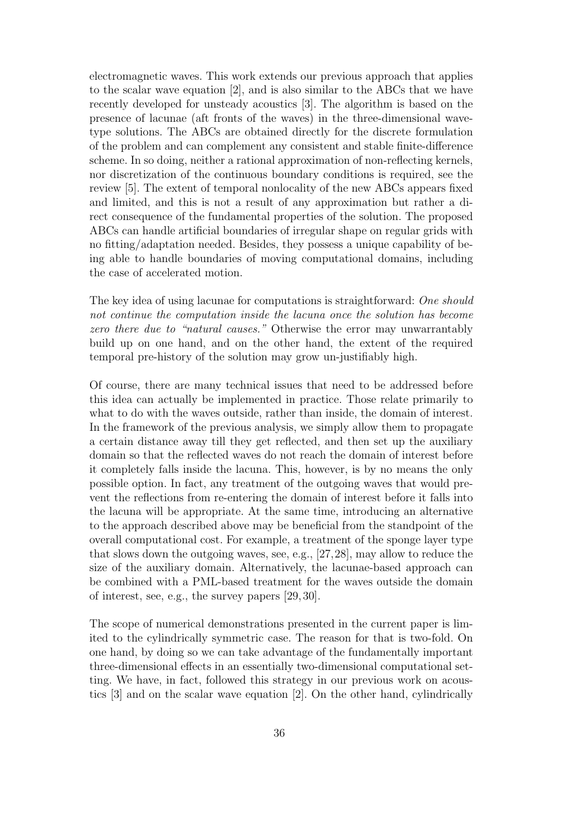electromagnetic waves. This work extends our previous approach that applies to the scalar wave equation [2], and is also similar to the ABCs that we have recently developed for unsteady acoustics [3]. The algorithm is based on the presence of lacunae (aft fronts of the waves) in the three-dimensional wavetype solutions. The ABCs are obtained directly for the discrete formulation of the problem and can complement any consistent and stable finite-difference scheme. In so doing, neither a rational approximation of non-reflecting kernels, nor discretization of the continuous boundary conditions is required, see the review [5]. The extent of temporal nonlocality of the new ABCs appears fixed and limited, and this is not a result of any approximation but rather a direct consequence of the fundamental properties of the solution. The proposed ABCs can handle artificial boundaries of irregular shape on regular grids with no fitting/adaptation needed. Besides, they possess a unique capability of being able to handle boundaries of moving computational domains, including the case of accelerated motion.

The key idea of using lacunae for computations is straightforward: One should not continue the computation inside the lacuna once the solution has become zero there due to "natural causes." Otherwise the error may unwarrantably build up on one hand, and on the other hand, the extent of the required temporal pre-history of the solution may grow un-justifiably high.

Of course, there are many technical issues that need to be addressed before this idea can actually be implemented in practice. Those relate primarily to what to do with the waves outside, rather than inside, the domain of interest. In the framework of the previous analysis, we simply allow them to propagate a certain distance away till they get reflected, and then set up the auxiliary domain so that the reflected waves do not reach the domain of interest before it completely falls inside the lacuna. This, however, is by no means the only possible option. In fact, any treatment of the outgoing waves that would prevent the reflections from re-entering the domain of interest before it falls into the lacuna will be appropriate. At the same time, introducing an alternative to the approach described above may be beneficial from the standpoint of the overall computational cost. For example, a treatment of the sponge layer type that slows down the outgoing waves, see, e.g., [27,28], may allow to reduce the size of the auxiliary domain. Alternatively, the lacunae-based approach can be combined with a PML-based treatment for the waves outside the domain of interest, see, e.g., the survey papers [29, 30].

The scope of numerical demonstrations presented in the current paper is limited to the cylindrically symmetric case. The reason for that is two-fold. On one hand, by doing so we can take advantage of the fundamentally important three-dimensional effects in an essentially two-dimensional computational setting. We have, in fact, followed this strategy in our previous work on acoustics [3] and on the scalar wave equation [2]. On the other hand, cylindrically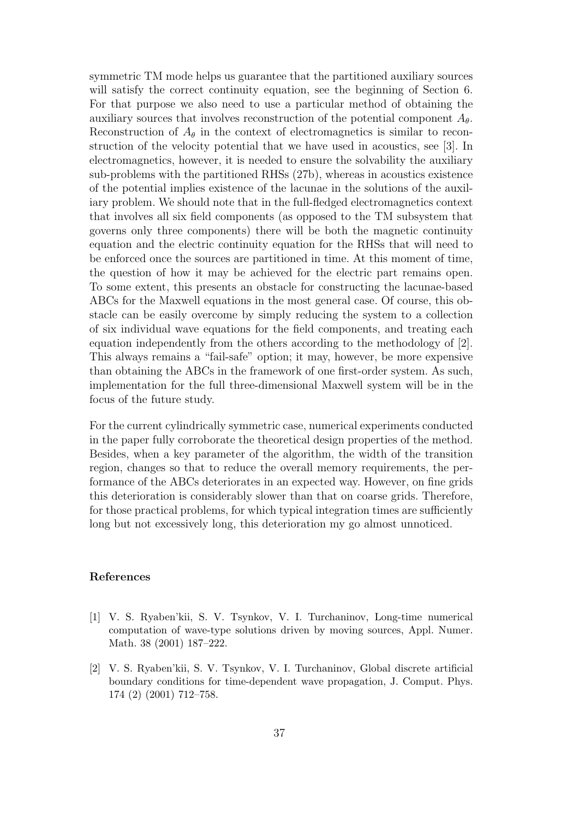symmetric TM mode helps us guarantee that the partitioned auxiliary sources will satisfy the correct continuity equation, see the beginning of Section 6. For that purpose we also need to use a particular method of obtaining the auxiliary sources that involves reconstruction of the potential component  $A_{\theta}$ . Reconstruction of  $A_{\theta}$  in the context of electromagnetics is similar to reconstruction of the velocity potential that we have used in acoustics, see [3]. In electromagnetics, however, it is needed to ensure the solvability the auxiliary sub-problems with the partitioned RHSs (27b), whereas in acoustics existence of the potential implies existence of the lacunae in the solutions of the auxiliary problem. We should note that in the full-fledged electromagnetics context that involves all six field components (as opposed to the TM subsystem that governs only three components) there will be both the magnetic continuity equation and the electric continuity equation for the RHSs that will need to be enforced once the sources are partitioned in time. At this moment of time, the question of how it may be achieved for the electric part remains open. To some extent, this presents an obstacle for constructing the lacunae-based ABCs for the Maxwell equations in the most general case. Of course, this obstacle can be easily overcome by simply reducing the system to a collection of six individual wave equations for the field components, and treating each equation independently from the others according to the methodology of [2]. This always remains a "fail-safe" option; it may, however, be more expensive than obtaining the ABCs in the framework of one first-order system. As such, implementation for the full three-dimensional Maxwell system will be in the focus of the future study.

For the current cylindrically symmetric case, numerical experiments conducted in the paper fully corroborate the theoretical design properties of the method. Besides, when a key parameter of the algorithm, the width of the transition region, changes so that to reduce the overall memory requirements, the performance of the ABCs deteriorates in an expected way. However, on fine grids this deterioration is considerably slower than that on coarse grids. Therefore, for those practical problems, for which typical integration times are sufficiently long but not excessively long, this deterioration my go almost unnoticed.

#### References

- [1] V. S. Ryaben'kii, S. V. Tsynkov, V. I. Turchaninov, Long-time numerical computation of wave-type solutions driven by moving sources, Appl. Numer. Math. 38 (2001) 187–222.
- [2] V. S. Ryaben'kii, S. V. Tsynkov, V. I. Turchaninov, Global discrete artificial boundary conditions for time-dependent wave propagation, J. Comput. Phys. 174 (2) (2001) 712–758.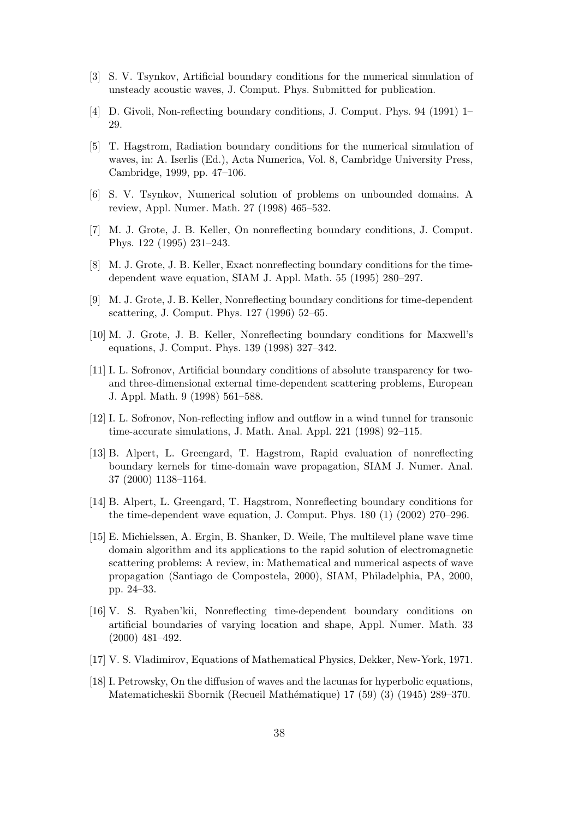- [3] S. V. Tsynkov, Artificial boundary conditions for the numerical simulation of unsteady acoustic waves, J. Comput. Phys. Submitted for publication.
- [4] D. Givoli, Non-reflecting boundary conditions, J. Comput. Phys. 94 (1991) 1– 29.
- [5] T. Hagstrom, Radiation boundary conditions for the numerical simulation of waves, in: A. Iserlis (Ed.), Acta Numerica, Vol. 8, Cambridge University Press, Cambridge, 1999, pp. 47–106.
- [6] S. V. Tsynkov, Numerical solution of problems on unbounded domains. A review, Appl. Numer. Math. 27 (1998) 465–532.
- [7] M. J. Grote, J. B. Keller, On nonreflecting boundary conditions, J. Comput. Phys. 122 (1995) 231–243.
- [8] M. J. Grote, J. B. Keller, Exact nonreflecting boundary conditions for the timedependent wave equation, SIAM J. Appl. Math. 55 (1995) 280–297.
- [9] M. J. Grote, J. B. Keller, Nonreflecting boundary conditions for time-dependent scattering, J. Comput. Phys. 127 (1996) 52–65.
- [10] M. J. Grote, J. B. Keller, Nonreflecting boundary conditions for Maxwell's equations, J. Comput. Phys. 139 (1998) 327–342.
- [11] I. L. Sofronov, Artificial boundary conditions of absolute transparency for twoand three-dimensional external time-dependent scattering problems, European J. Appl. Math. 9 (1998) 561–588.
- [12] I. L. Sofronov, Non-reflecting inflow and outflow in a wind tunnel for transonic time-accurate simulations, J. Math. Anal. Appl. 221 (1998) 92–115.
- [13] B. Alpert, L. Greengard, T. Hagstrom, Rapid evaluation of nonreflecting boundary kernels for time-domain wave propagation, SIAM J. Numer. Anal. 37 (2000) 1138–1164.
- [14] B. Alpert, L. Greengard, T. Hagstrom, Nonreflecting boundary conditions for the time-dependent wave equation, J. Comput. Phys. 180 (1) (2002) 270–296.
- [15] E. Michielssen, A. Ergin, B. Shanker, D. Weile, The multilevel plane wave time domain algorithm and its applications to the rapid solution of electromagnetic scattering problems: A review, in: Mathematical and numerical aspects of wave propagation (Santiago de Compostela, 2000), SIAM, Philadelphia, PA, 2000, pp. 24–33.
- [16] V. S. Ryaben'kii, Nonreflecting time-dependent boundary conditions on artificial boundaries of varying location and shape, Appl. Numer. Math. 33 (2000) 481–492.
- [17] V. S. Vladimirov, Equations of Mathematical Physics, Dekker, New-York, 1971.
- [18] I. Petrowsky, On the diffusion of waves and the lacunas for hyperbolic equations, Matematicheskii Sbornik (Recueil Mathématique) 17 (59) (3) (1945) 289–370.